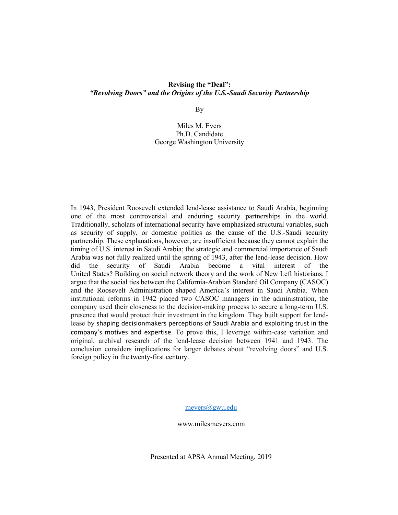### **Revising the "Deal":** *"Revolving Doors" and the Origins of the U.S.-Saudi Security Partnership*

By

Miles M. Evers Ph.D. Candidate George Washington University

In 1943, President Roosevelt extended lend-lease assistance to Saudi Arabia, beginning one of the most controversial and enduring security partnerships in the world. Traditionally, scholars of international security have emphasized structural variables, such as security of supply, or domestic politics as the cause of the U.S.-Saudi security partnership. These explanations, however, are insufficient because they cannot explain the timing of U.S. interest in Saudi Arabia; the strategic and commercial importance of Saudi Arabia was not fully realized until the spring of 1943, after the lend-lease decision. How did the security of Saudi Arabia become a vital interest of the United States? Building on social network theory and the work of New Left historians, I argue that the social ties between the California-Arabian Standard Oil Company (CASOC) and the Roosevelt Administration shaped America's interest in Saudi Arabia. When institutional reforms in 1942 placed two CASOC managers in the administration, the company used their closeness to the decision-making process to secure a long-term U.S. presence that would protect their investment in the kingdom. They built support for lendlease by shaping decisionmakers perceptions of Saudi Arabia and exploiting trust in the company's motives and expertise. To prove this, I leverage within-case variation and original, archival research of the lend-lease decision between 1941 and 1943. The conclusion considers implications for larger debates about "revolving doors" and U.S. foreign policy in the twenty-first century.

mevers@gwu.edu

www.milesmevers.com

Presented at APSA Annual Meeting, 2019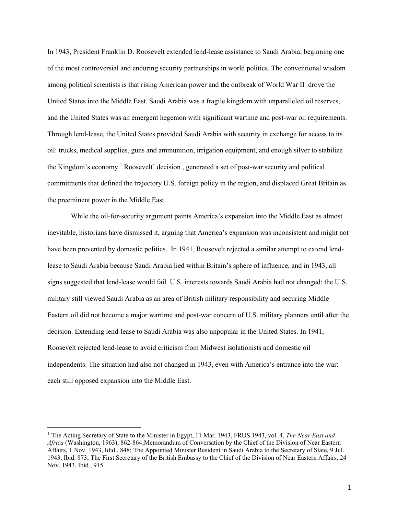In 1943, President Franklin D. Roosevelt extended lend-lease assistance to Saudi Arabia, beginning one of the most controversial and enduring security partnerships in world politics. The conventional wisdom among political scientists is that rising American power and the outbreak of World War II drove the United States into the Middle East. Saudi Arabia was a fragile kingdom with unparalleled oil reserves, and the United States was an emergent hegemon with significant wartime and post-war oil requirements. Through lend-lease, the United States provided Saudi Arabia with security in exchange for access to its oil: trucks, medical supplies, guns and ammunition, irrigation equipment, and enough silver to stabilize the Kingdom's economy. <sup>1</sup> Roosevelt' decision , generated a set of post-war security and political commitments that defined the trajectory U.S. foreign policy in the region, and displaced Great Britain as the preeminent power in the Middle East.

While the oil-for-security argument paints America's expansion into the Middle East as almost inevitable, historians have dismissed it, arguing that America's expansion was inconsistent and might not have been prevented by domestic politics. In 1941, Roosevelt rejected a similar attempt to extend lendlease to Saudi Arabia because Saudi Arabia lied within Britain's sphere of influence, and in 1943, all signs suggested that lend-lease would fail. U.S. interests towards Saudi Arabia had not changed: the U.S. military still viewed Saudi Arabia as an area of British military responsibility and securing Middle Eastern oil did not become a major wartime and post-war concern of U.S. military planners until after the decision. Extending lend-lease to Saudi Arabia was also unpopular in the United States. In 1941, Roosevelt rejected lend-lease to avoid criticism from Midwest isolationists and domestic oil independents. The situation had also not changed in 1943, even with America's entrance into the war: each still opposed expansion into the Middle East.

<sup>1</sup> The Acting Secretary of State to the Minister in Egypt, 11 Mar. 1943, FRUS 1943, vol. 4, *The Near East and Africa* (Washington, 1963), 862-864;Memorandum of Conversation by the Chief of the Division of Near Eastern Affairs, 1 Nov. 1943, Idid., 848; The Appointed Minister Resident in Saudi Arabia to the Secretary of State, 9 Jul. 1943, Ibid. 873; The First Secretary of the British Embassy to the Chief of the Division of Near Eastern Affairs, 24 Nov. 1943, Ibid., 915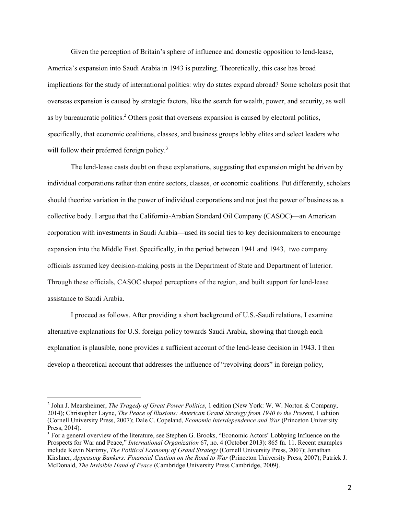Given the perception of Britain's sphere of influence and domestic opposition to lend-lease, America's expansion into Saudi Arabia in 1943 is puzzling. Theoretically, this case has broad implications for the study of international politics: why do states expand abroad? Some scholars posit that overseas expansion is caused by strategic factors, like the search for wealth, power, and security, as well as by bureaucratic politics.<sup>2</sup> Others posit that overseas expansion is caused by electoral politics, specifically, that economic coalitions, classes, and business groups lobby elites and select leaders who will follow their preferred foreign policy.<sup>3</sup>

The lend-lease casts doubt on these explanations, suggesting that expansion might be driven by individual corporations rather than entire sectors, classes, or economic coalitions. Put differently, scholars should theorize variation in the power of individual corporations and not just the power of business as a collective body. I argue that the California-Arabian Standard Oil Company (CASOC)—an American corporation with investments in Saudi Arabia—used its social ties to key decisionmakers to encourage expansion into the Middle East. Specifically, in the period between 1941 and 1943, two company officials assumed key decision-making posts in the Department of State and Department of Interior. Through these officials, CASOC shaped perceptions of the region, and built support for lend-lease assistance to Saudi Arabia.

I proceed as follows. After providing a short background of U.S.-Saudi relations, I examine alternative explanations for U.S. foreign policy towards Saudi Arabia, showing that though each explanation is plausible, none provides a sufficient account of the lend-lease decision in 1943. I then develop a theoretical account that addresses the influence of "revolving doors" in foreign policy,

<sup>2</sup> John J. Mearsheimer, *The Tragedy of Great Power Politics*, 1 edition (New York: W. W. Norton & Company, 2014); Christopher Layne, *The Peace of Illusions: American Grand Strategy from 1940 to the Present*, 1 edition (Cornell University Press, 2007); Dale C. Copeland, *Economic Interdependence and War* (Princeton University Press, 2014).

<sup>&</sup>lt;sup>3</sup> For a general overview of the literature, see Stephen G. Brooks, "Economic Actors' Lobbying Influence on the Prospects for War and Peace," *International Organization* 67, no. 4 (October 2013): 865 fn. 11. Recent examples include Kevin Narizny, *The Political Economy of Grand Strategy* (Cornell University Press, 2007); Jonathan Kirshner, *Appeasing Bankers: Financial Caution on the Road to War* (Princeton University Press, 2007); Patrick J. McDonald, *The Invisible Hand of Peace* (Cambridge University Press Cambridge, 2009).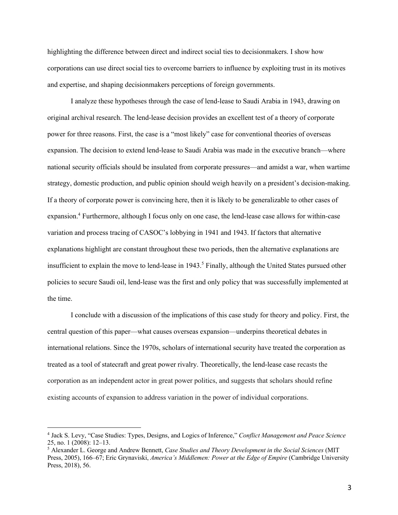highlighting the difference between direct and indirect social ties to decisionmakers. I show how corporations can use direct social ties to overcome barriers to influence by exploiting trust in its motives and expertise, and shaping decisionmakers perceptions of foreign governments.

I analyze these hypotheses through the case of lend-lease to Saudi Arabia in 1943, drawing on original archival research. The lend-lease decision provides an excellent test of a theory of corporate power for three reasons. First, the case is a "most likely" case for conventional theories of overseas expansion. The decision to extend lend-lease to Saudi Arabia was made in the executive branch—where national security officials should be insulated from corporate pressures—and amidst a war, when wartime strategy, domestic production, and public opinion should weigh heavily on a president's decision-making. If a theory of corporate power is convincing here, then it is likely to be generalizable to other cases of expansion.4 Furthermore, although I focus only on one case, the lend-lease case allows for within-case variation and process tracing of CASOC's lobbying in 1941 and 1943. If factors that alternative explanations highlight are constant throughout these two periods, then the alternative explanations are insufficient to explain the move to lend-lease in  $1943<sup>5</sup>$  Finally, although the United States pursued other policies to secure Saudi oil, lend-lease was the first and only policy that was successfully implemented at the time.

I conclude with a discussion of the implications of this case study for theory and policy. First, the central question of this paper—what causes overseas expansion—underpins theoretical debates in international relations. Since the 1970s, scholars of international security have treated the corporation as treated as a tool of statecraft and great power rivalry. Theoretically, the lend-lease case recasts the corporation as an independent actor in great power politics, and suggests that scholars should refine existing accounts of expansion to address variation in the power of individual corporations.

<sup>4</sup> Jack S. Levy, "Case Studies: Types, Designs, and Logics of Inference," *Conflict Management and Peace Science* 25, no. 1 (2008): 12–13.

<sup>5</sup> Alexander L. George and Andrew Bennett, *Case Studies and Theory Development in the Social Sciences* (MIT Press, 2005), 166–67; Eric Grynaviski, *America's Middlemen: Power at the Edge of Empire* (Cambridge University Press, 2018), 56.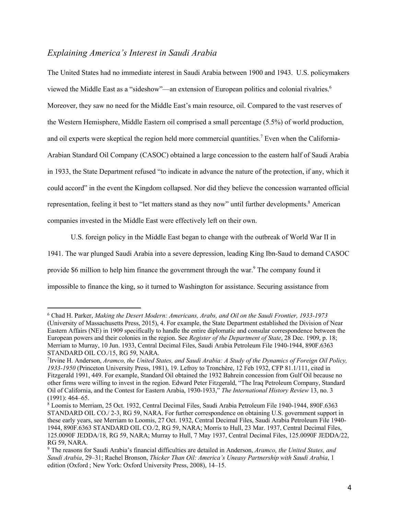# *Explaining America's Interest in Saudi Arabia*

The United States had no immediate interest in Saudi Arabia between 1900 and 1943. U.S. policymakers viewed the Middle East as a "sideshow"—an extension of European politics and colonial rivalries.<sup>6</sup> Moreover, they saw no need for the Middle East's main resource, oil. Compared to the vast reserves of the Western Hemisphere, Middle Eastern oil comprised a small percentage (5.5%) of world production, and oil experts were skeptical the region held more commercial quantities.<sup>7</sup> Even when the California-Arabian Standard Oil Company (CASOC) obtained a large concession to the eastern half of Saudi Arabia in 1933, the State Department refused "to indicate in advance the nature of the protection, if any, which it could accord" in the event the Kingdom collapsed. Nor did they believe the concession warranted official representation, feeling it best to "let matters stand as they now" until further developments.<sup>8</sup> American companies invested in the Middle East were effectively left on their own.

U.S. foreign policy in the Middle East began to change with the outbreak of World War II in 1941. The war plunged Saudi Arabia into a severe depression, leading King Ibn-Saud to demand CASOC provide \$6 million to help him finance the government through the war.<sup>9</sup> The company found it impossible to finance the king, so it turned to Washington for assistance. Securing assistance from

<sup>6</sup> Chad H. Parker, *Making the Desert Modern: Americans, Arabs, and Oil on the Saudi Frontier, 1933-1973* (University of Massachusetts Press, 2015), 4. For example, the State Department established the Division of Near Eastern Affairs (NE) in 1909 specifically to handle the entire diplomatic and consular correspondence between the European powers and their colonies in the region. See *Register of the Department of State*, 28 Dec. 1909, p. 18; Merriam to Murray, 10 Jun. 1933, Central Decimal Files, Saudi Arabia Petroleum File 1940-1944, 890F.6363 STANDARD OIL CO./15, RG 59, NARA.

<sup>7</sup> Irvine H. Anderson, *Aramco, the United States, and Saudi Arabia: A Study of the Dynamics of Foreign Oil Policy, 1933-1950* (Princeton University Press, 1981), 19. Lefroy to Tronchère, 12 Feb 1932, CFP 81.1/111, cited in Fitzgerald 1991, 449. For example, Standard Oil obtained the 1932 Bahrein concession from Gulf Oil because no other firms were willing to invest in the region. Edward Peter Fitzgerald, "The Iraq Petroleum Company, Standard Oil of California, and the Contest for Eastern Arabia, 1930-1933," *The International History Review* 13, no. 3 (1991): 464–65.

<sup>8</sup> Loomis to Merriam, 25 Oct. 1932, Central Decimal Files, Saudi Arabia Petroleum File 1940-1944, 890F.6363 STANDARD OIL CO./ 2-3, RG 59, NARA. For further correspondence on obtaining U.S. government support in these early years, see Merriam to Loomis, 27 Oct. 1932, Central Decimal Files, Saudi Arabia Petroleum File 1940- 1944, 890F.6363 STANDARD OIL CO./2, RG 59, NARA; Morris to Hull, 23 Mar. 1937, Central Decimal Files, 125.0090F JEDDA/18, RG 59, NARA; Murray to Hull, 7 May 1937, Central Decimal Files, 125.0090F JEDDA/22, RG 59, NARA.

<sup>9</sup> The reasons for Saudi Arabia's financial difficulties are detailed in Anderson, *Aramco, the United States, and Saudi Arabia*, 29–31; Rachel Bronson, *Thicker Than Oil: America's Uneasy Partnership with Saudi Arabia*, 1 edition (Oxford ; New York: Oxford University Press, 2008), 14–15.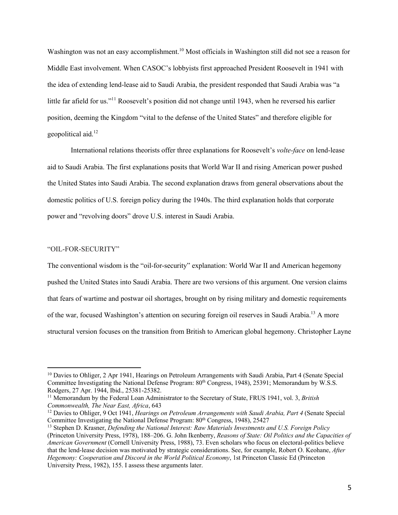Washington was not an easy accomplishment.<sup>10</sup> Most officials in Washington still did not see a reason for Middle East involvement. When CASOC's lobbyists first approached President Roosevelt in 1941 with the idea of extending lend-lease aid to Saudi Arabia, the president responded that Saudi Arabia was "a little far afield for us."<sup>11</sup> Roosevelt's position did not change until 1943, when he reversed his earlier position, deeming the Kingdom "vital to the defense of the United States" and therefore eligible for geopolitical aid. 12

International relations theorists offer three explanations for Roosevelt's *volte-face* on lend-lease aid to Saudi Arabia. The first explanations posits that World War II and rising American power pushed the United States into Saudi Arabia. The second explanation draws from general observations about the domestic politics of U.S. foreign policy during the 1940s. The third explanation holds that corporate power and "revolving doors" drove U.S. interest in Saudi Arabia.

#### "OIL-FOR-SECURITY"

The conventional wisdom is the "oil-for-security" explanation: World War II and American hegemony pushed the United States into Saudi Arabia. There are two versions of this argument. One version claims that fears of wartime and postwar oil shortages, brought on by rising military and domestic requirements of the war, focused Washington's attention on securing foreign oil reserves in Saudi Arabia.13 A more structural version focuses on the transition from British to American global hegemony. Christopher Layne

<sup>&</sup>lt;sup>10</sup> Davies to Ohliger, 2 Apr 1941, Hearings on Petroleum Arrangements with Saudi Arabia, Part 4 (Senate Special Committee Investigating the National Defense Program: 80<sup>th</sup> Congress, 1948), 25391; Memorandum by W.S.S. Rodgers, 27 Apr. 1944, Ibid., 25381-25382.

<sup>11</sup> Memorandum by the Federal Loan Administrator to the Secretary of State, FRUS 1941, vol. 3, *British Commonwealth, The Near East, Africa*, 643

<sup>12</sup> Davies to Ohliger, 9 Oct 1941, *Hearings on Petroleum Arrangements with Saudi Arabia, Part 4* (Senate Special Committee Investigating the National Defense Program: 80<sup>th</sup> Congress, 1948), 25427

<sup>13</sup> Stephen D. Krasner, *Defending the National Interest: Raw Materials Investments and U.S. Foreign Policy* (Princeton University Press, 1978), 188–206. G. John Ikenberry, *Reasons of State: Oil Politics and the Capacities of American Government* (Cornell University Press, 1988), 73. Even scholars who focus on electoral-politics believe that the lend-lease decision was motivated by strategic considerations. See, for example, Robert O. Keohane, *After Hegemony: Cooperation and Discord in the World Political Economy*, 1st Princeton Classic Ed (Princeton University Press, 1982), 155. I assess these arguments later.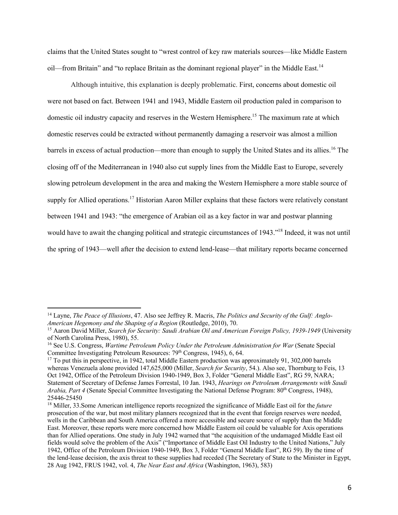claims that the United States sought to "wrest control of key raw materials sources—like Middle Eastern oil—from Britain" and "to replace Britain as the dominant regional player" in the Middle East.<sup>14</sup>

Although intuitive, this explanation is deeply problematic. First, concerns about domestic oil were not based on fact. Between 1941 and 1943, Middle Eastern oil production paled in comparison to domestic oil industry capacity and reserves in the Western Hemisphere.<sup>15</sup> The maximum rate at which domestic reserves could be extracted without permanently damaging a reservoir was almost a million barrels in excess of actual production—more than enough to supply the United States and its allies.<sup>16</sup> The closing off of the Mediterranean in 1940 also cut supply lines from the Middle East to Europe, severely slowing petroleum development in the area and making the Western Hemisphere a more stable source of supply for Allied operations.<sup>17</sup> Historian Aaron Miller explains that these factors were relatively constant between 1941 and 1943: "the emergence of Arabian oil as a key factor in war and postwar planning would have to await the changing political and strategic circumstances of 1943."18 Indeed, it was not until the spring of 1943—well after the decision to extend lend-lease—that military reports became concerned

<sup>14</sup> Layne, *The Peace of Illusions*, 47. Also see Jeffrey R. Macris, *The Politics and Security of the Gulf: Anglo-American Hegemony and the Shaping of a Region* (Routledge, 2010), 70.

<sup>15</sup> Aaron David Miller, *Search for Security: Saudi Arabian Oil and American Foreign Policy, 1939-1949* (University of North Carolina Press, 1980), 55.

<sup>&</sup>lt;sup>16</sup> See U.S. Congress, *Wartime Petroleum Policy Under the Petroleum Administration for War* (Senate Special Committee Investigating Petroleum Resources: 79<sup>th</sup> Congress, 1945), 6, 64.

<sup>&</sup>lt;sup>17</sup> To put this in perspective, in 1942, total Middle Eastern production was approximately 91, 302,000 barrels whereas Venezuela alone provided 147,625,000 (Miller, *Search for Security*, 54.). Also see, Thornburg to Feis, 13 Oct 1942, Office of the Petroleum Division 1940-1949, Box 3, Folder "General Middle East", RG 59, NARA; Statement of Secretary of Defense James Forrestal, 10 Jan. 1943, *Hearings on Petroleum Arrangements with Saudi Arabia, Part 4* (Senate Special Committee Investigating the National Defense Program: 80<sup>th</sup> Congress, 1948), 25446-25450

<sup>18</sup> Miller, 33.Some American intelligence reports recognized the significance of Middle East oil for the *future* prosecution of the war, but most military planners recognized that in the event that foreign reserves were needed, wells in the Caribbean and South America offered a more accessible and secure source of supply than the Middle East. Moreover, these reports were more concerned how Middle Eastern oil could be valuable for Axis operations than for Allied operations. One study in July 1942 warned that "the acquisition of the undamaged Middle East oil fields would solve the problem of the Axis" ("Importance of Middle East Oil Industry to the United Nations," July 1942, Office of the Petroleum Division 1940-1949, Box 3, Folder "General Middle East", RG 59). By the time of the lend-lease decision, the axis threat to these supplies had receded (The Secretary of State to the Minister in Egypt, 28 Aug 1942, FRUS 1942, vol. 4, *The Near East and Africa* (Washington, 1963), 583)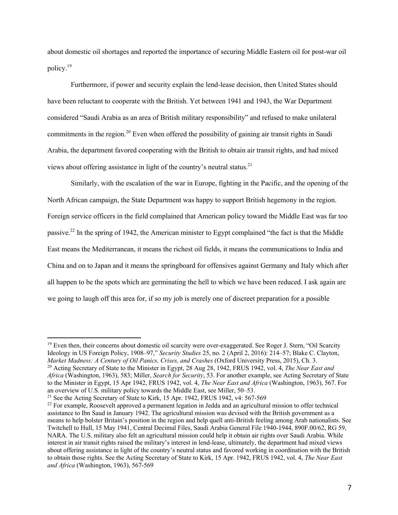about domestic oil shortages and reported the importance of securing Middle Eastern oil for post-war oil policy.19

Furthermore, if power and security explain the lend-lease decision, then United States should have been reluctant to cooperate with the British. Yet between 1941 and 1943, the War Department considered "Saudi Arabia as an area of British military responsibility" and refused to make unilateral commitments in the region.<sup>20</sup> Even when offered the possibility of gaining air transit rights in Saudi Arabia, the department favored cooperating with the British to obtain air transit rights, and had mixed views about offering assistance in light of the country's neutral status.<sup>21</sup>

Similarly, with the escalation of the war in Europe, fighting in the Pacific, and the opening of the North African campaign, the State Department was happy to support British hegemony in the region. Foreign service officers in the field complained that American policy toward the Middle East was far too passive.22 In the spring of 1942, the American minister to Egypt complained "the fact is that the Middle East means the Mediterranean, it means the richest oil fields, it means the communications to India and China and on to Japan and it means the springboard for offensives against Germany and Italy which after all happen to be the spots which are germinating the hell to which we have been reduced. I ask again are we going to laugh off this area for, if so my job is merely one of discreet preparation for a possible

<sup>21</sup> See the Acting Secretary of State to Kirk, 15 Apr. 1942, FRUS 1942, v4: 567-569

<sup>&</sup>lt;sup>19</sup> Even then, their concerns about domestic oil scarcity were over-exaggerated. See Roger J. Stern, "Oil Scarcity Ideology in US Foreign Policy, 1908–97," *Security Studies* 25, no. 2 (April 2, 2016): 214–57; Blake C. Clayton, *Market Madness: A Century of Oil Panics, Crises, and Crashes* (Oxford University Press, 2015), Ch. 3.

<sup>20</sup> Acting Secretary of State to the Minister in Egypt, 28 Aug 28, 1942, FRUS 1942, vol. 4, *The Near East and Africa* (Washington, 1963), 583; Miller, *Search for Security*, 53. For another example, see Acting Secretary of State to the Minister in Egypt, 15 Apr 1942, FRUS 1942, vol. 4, *The Near East and Africa* (Washington, 1963), 567. For an overview of U.S. military policy towards the Middle East, see Miller, 50–53.

 $^{22}$  For example. Roosevelt approved a permanent legation in Jedda and an agricultural mission to offer technical assistance to Ibn Saud in January 1942. The agricultural mission was devised with the British government as a means to help bolster Britain's position in the region and help quell anti-British feeling among Arab nationalists. See Twitchell to Hull, 15 May 1941, Central Decimal Files, Saudi Arabia General File 1940-1944, 890F.00/62, RG 59, NARA. The U.S. military also felt an agricultural mission could help it obtain air rights over Saudi Arabia. While interest in air transit rights raised the military's interest in lend-lease, ultimately, the department had mixed views about offering assistance in light of the country's neutral status and favored working in coordination with the British to obtain those rights. See the Acting Secretary of State to Kirk, 15 Apr. 1942, FRUS 1942, vol. 4, *The Near East and Africa* (Washington, 1963), 567-569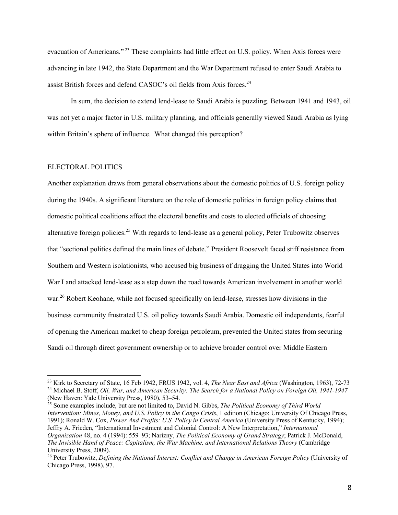evacuation of Americans."<sup>23</sup> These complaints had little effect on U.S. policy. When Axis forces were advancing in late 1942, the State Department and the War Department refused to enter Saudi Arabia to assist British forces and defend CASOC's oil fields from Axis forces.<sup>24</sup>

In sum, the decision to extend lend-lease to Saudi Arabia is puzzling. Between 1941 and 1943, oil was not yet a major factor in U.S. military planning, and officials generally viewed Saudi Arabia as lying within Britain's sphere of influence. What changed this perception?

### ELECTORAL POLITICS

Another explanation draws from general observations about the domestic politics of U.S. foreign policy during the 1940s. A significant literature on the role of domestic politics in foreign policy claims that domestic political coalitions affect the electoral benefits and costs to elected officials of choosing alternative foreign policies.<sup>25</sup> With regards to lend-lease as a general policy, Peter Trubowitz observes that "sectional politics defined the main lines of debate." President Roosevelt faced stiff resistance from Southern and Western isolationists, who accused big business of dragging the United States into World War I and attacked lend-lease as a step down the road towards American involvement in another world war.<sup>26</sup> Robert Keohane, while not focused specifically on lend-lease, stresses how divisions in the business community frustrated U.S. oil policy towards Saudi Arabia. Domestic oil independents, fearful of opening the American market to cheap foreign petroleum, prevented the United states from securing Saudi oil through direct government ownership or to achieve broader control over Middle Eastern

<sup>25</sup> Some examples include, but are not limited to, David N. Gibbs, *The Political Economy of Third World Intervention: Mines, Money, and U.S. Policy in the Congo Crisis*, 1 edition (Chicago: University Of Chicago Press, 1991); Ronald W. Cox, *Power And Profits: U.S. Policy in Central America* (University Press of Kentucky, 1994); Jeffry A. Frieden, "International Investment and Colonial Control: A New Interpretation," *International Organization* 48, no. 4 (1994): 559–93; Narizny, *The Political Economy of Grand Strategy*; Patrick J. McDonald, *The Invisible Hand of Peace: Capitalism, the War Machine, and International Relations Theory* (Cambridge University Press, 2009).

<sup>23</sup> Kirk to Secretary of State, 16 Feb 1942, FRUS 1942, vol. 4, *The Near East and Africa* (Washington, 1963), 72-73 <sup>24</sup> Michael B. Stoff, *Oil, War, and American Security: The Search for a National Policy on Foreign Oil, 1941-1947* (New Haven: Yale University Press, 1980), 53–54.

<sup>26</sup> Peter Trubowitz, *Defining the National Interest: Conflict and Change in American Foreign Policy* (University of Chicago Press, 1998), 97.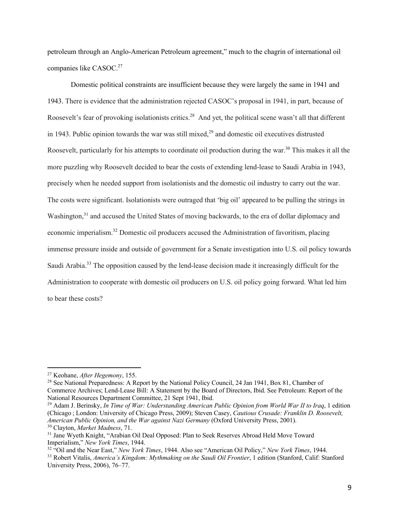petroleum through an Anglo-American Petroleum agreement," much to the chagrin of international oil companies like CASOC.<sup>27</sup>

Domestic political constraints are insufficient because they were largely the same in 1941 and 1943. There is evidence that the administration rejected CASOC's proposal in 1941, in part, because of Roosevelt's fear of provoking isolationists critics.<sup>28</sup> And yet, the political scene wasn't all that different in 1943. Public opinion towards the war was still mixed,<sup>29</sup> and domestic oil executives distrusted Roosevelt, particularly for his attempts to coordinate oil production during the war.<sup>30</sup> This makes it all the more puzzling why Roosevelt decided to bear the costs of extending lend-lease to Saudi Arabia in 1943, precisely when he needed support from isolationists and the domestic oil industry to carry out the war. The costs were significant. Isolationists were outraged that 'big oil' appeared to be pulling the strings in Washington,<sup>31</sup> and accused the United States of moving backwards, to the era of dollar diplomacy and economic imperialism.32 Domestic oil producers accused the Administration of favoritism, placing immense pressure inside and outside of government for a Senate investigation into U.S. oil policy towards Saudi Arabia.<sup>33</sup> The opposition caused by the lend-lease decision made it increasingly difficult for the Administration to cooperate with domestic oil producers on U.S. oil policy going forward. What led him to bear these costs?

<sup>27</sup> Keohane, *After Hegemony*, 155.

<sup>&</sup>lt;sup>28</sup> See National Preparedness: A Report by the National Policy Council, 24 Jan 1941, Box 81, Chamber of Commerce Archives; Lend-Lease Bill: A Statement by the Board of Directors, Ibid. See Petroleum: Report of the National Resources Department Committee, 21 Sept 1941, Ibid.

<sup>29</sup> Adam J. Berinsky, *In Time of War: Understanding American Public Opinion from World War II to Iraq*, 1 edition (Chicago ; London: University of Chicago Press, 2009); Steven Casey, *Cautious Crusade: Franklin D. Roosevelt, American Public Opinion, and the War against Nazi Germany* (Oxford University Press, 2001). <sup>30</sup> Clayton, *Market Madness*, 71.

<sup>&</sup>lt;sup>31</sup> Jane Wyeth Knight, "Arabian Oil Deal Opposed: Plan to Seek Reserves Abroad Held Move Toward Imperialism," *New York Times*, 1944.

<sup>32</sup> "Oil and the Near East," *New York Times*, 1944. Also see "American Oil Policy," *New York Times*, 1944. <sup>33</sup> Robert Vitalis, *America's Kingdom: Mythmaking on the Saudi Oil Frontier*, 1 edition (Stanford, Calif: Stanford University Press, 2006), 76–77.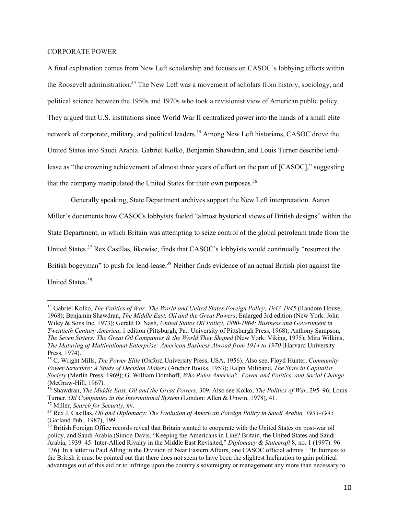#### CORPORATE POWER

A final explanation comes from New Left scholarship and focuses on CASOC's lobbying efforts within the Roosevelt administration.<sup>34</sup> The New Left was a movement of scholars from history, sociology, and political science between the 1950s and 1970s who took a revisionist view of American public policy. They argued that U.S. institutions since World War II centralized power into the hands of a small elite network of corporate, military, and political leaders.<sup>35</sup> Among New Left historians, CASOC drove the United States into Saudi Arabia. Gabriel Kolko, Benjamin Shawdran, and Louis Turner describe lendlease as "the crowning achievement of almost three years of effort on the part of [CASOC]," suggesting that the company manipulated the United States for their own purposes.<sup>36</sup>

Generally speaking, State Department archives support the New Left interpretation. Aaron Miller's documents how CASOCs lobbyists fueled "almost hysterical views of British designs" within the State Department, in which Britain was attempting to seize control of the global petroleum trade from the United States.<sup>37</sup> Rex Casillas, likewise, finds that CASOC's lobbyists would continually "resurrect the British bogeyman" to push for lend-lease.<sup>38</sup> Neither finds evidence of an actual British plot against the United States.39

<sup>&</sup>lt;sup>34</sup> Gabriel Kolko, *The Politics of War: The World and United States Foreign Policy, 1943-1945* (Random House, 1968); Benjamin Shawdran, *The Middle East, Oil and the Great Powers*, Enlarged 3rd edition (New York: John Wiley & Sons Inc, 1973); Gerald D. Nash, *United States Oil Policy, 1890-1964: Business and Government in Twentieth Century America*, 1 edition (Pittsburgh, Pa.: University of Pittsburgh Press, 1968); Anthony Sampson, *The Seven Sisters: The Great Oil Companies & the World They Shaped* (New York: Viking, 1975); Mira Wilkins, *The Maturing of Multinational Enterprise: American Business Abroad from 1914 to 1970* (Harvard University Press, 1974).

<sup>35</sup> C. Wright Mills, *The Power Elite* (Oxford University Press, USA, 1956). Also see, Floyd Hunter, *Community Power Structure: A Study of Decision Makers* (Anchor Books, 1953); Ralph Miliband, *The State in Capitalist Society* (Merlin Press, 1969); G. William Domhoff, *Who Rules America?: Power and Politics, and Social Change* (McGraw-Hill, 1967).

<sup>36</sup> Shawdran, *The Middle East, Oil and the Great Powers*, 309. Also see Kolko, *The Politics of War*, 295–96; Louis Turner, *Oil Companies in the International System* (London: Allen & Unwin, 1978), 41.

<sup>37</sup> Miller, *Search for Security*, xv.

<sup>38</sup> Rex J. Casillas, *Oil and Diplomacy: The Evolution of American Foreign Policy in Saudi Arabia, 1933-1945* (Garland Pub., 1987), 199.

<sup>&</sup>lt;sup>39</sup> British Foreign Office records reveal that Britain wanted to cooperate with the United States on post-war oil policy, and Saudi Arabia (Simon Davis, "Keeping the Americans in Line? Britain, the United States and Saudi Arabia, 1939–45: Inter‐Allied Rivalry in the Middle East Revisited," *Diplomacy & Statecraft* 8, no. 1 (1997): 96– 136). In a letter to Paul Alling in the Division of Near Eastern Affairs, one CASOC official admits : "In fairness to the British it must be pointed out that there does not seem to have been the slightest Inclination to gain political advantages out of this aid or to infringe upon the country's sovereignty or management any more than necessary to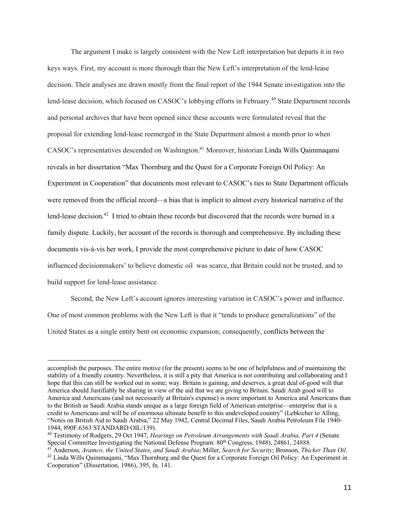The argument I make is largely consistent with the New Left interpretation but departs it in two keys ways. First, my account is more thorough than the New Left's interpretation of the lend-lease decision. Their analyses are drawn mostly from the final report of the 1944 Senate investigation into the lend-lease decision, which focused on CASOC's lobbying efforts in February.<sup>40</sup> State Department records and personal archives that have been opened since these accounts were formulated reveal that the proposal for extending lend-lease reemerged in the State Department almost a month prior to when CASOC's representatives descended on Washington.<sup>41</sup> Moreover, historian Linda Wills Qaimmaqami reveals in her dissertation "Max Thornburg and the Quest for a Corporate Foreign Oil Policy: An Experiment in Cooperation" that documents most relevant to CASOC's ties to State Department officials were removed from the official record—a bias that is implicit to almost every historical narrative of the lend-lease decision.<sup>42</sup> I tried to obtain these records but discovered that the records were burned in a family dispute. Luckily, her account of the records is thorough and comprehensive. By including these documents vis-à-vis her work, I provide the most comprehensive picture to date of how CASOC influenced decisionmakers' to believe domestic oil was scarce, that Britain could not be trusted, and to build support for lend-lease assistance.

Second, the New Left's account ignores interesting variation in CASOC's power and influence. One of most common problems with the New Left is that it "tends to produce generalizations" of the United States as a single entity bent on economic expansion; consequently, conflicts between the

accomplish the purposes. The entire motive (for the present) seems to be one of helpfulness and of maintaining the stability of a friendly country. Nevertheless, it is still a pity that America is not contributing and collaborating and I hope that this can still be worked out in some; way. Britain is gaining, and deserves, a great deal of-good will that America should Justifiably be sharing in view of the aid that we are giving to Britain. Saudi Arab good will to America and Americans (and not necessarily at Britain's expense) is more important to America and Americans than to the British as Saudi Arabia stands unique as a large foreign field of American enterprise—enterprise that is a credit to Americans and will be of enormous ultimate benefit to this undeveloped country" (Lebkicher to Alling, "Notes on British Aid to Saudi Arabia," 22 May 1942, Central Decimal Files, Saudi Arabia Petroleum File 1940- 1944, 890F.6363 STANDARD OIL/139).

<sup>40</sup> Testimony of Rodgers, 29 Oct 1947, *Hearings on Petroleum Arrangements with Saudi Arabia, Part 4* (Senate Special Committee Investigating the National Defense Program: 80<sup>th</sup> Congress, 1948), 24861, 24888.

<sup>41</sup> Anderson, *Aramco, the United States, and Saudi Arabia*; Miller, *Search for Security*; Bronson, *Thicker Than Oil*.

<sup>&</sup>lt;sup>42</sup> Linda Wills Qaimmaqami, "Max Thornburg and the Quest for a Corporate Foreign Oil Policy: An Experiment in Cooperation" (Dissertation, 1986), 395, fn. 141.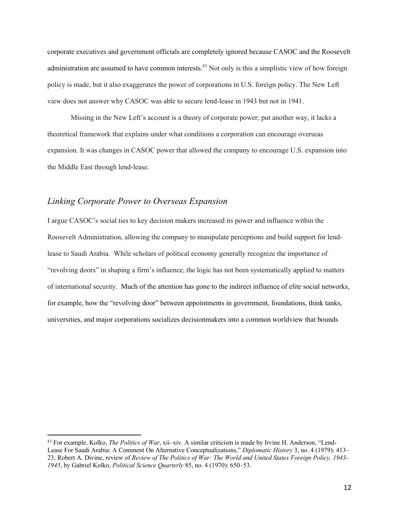corporate executives and government officials are completely ignored because CASOC and the Roosevelt administration are assumed to have common interests.<sup>43</sup> Not only is this a simplistic view of how foreign policy is made, but it also exaggerates the power of corporations in U.S. foreign policy. The New Left view does not answer why CASOC was able to secure lend-lease in 1943 but not in 1941.

Missing in the New Left's account is a theory of corporate power; put another way, it lacks a theoretical framework that explains under what conditions a corporation can encourage overseas expansion. It was changes in CASOC power that allowed the company to encourage U.S. expansion into the Middle East through lend-lease.

### *Linking Corporate Power to Overseas Expansion*

I argue CASOC's social ties to key decision makers increased its power and influence within the Roosevelt Administration, allowing the company to manipulate perceptions and build support for lendlease to Saudi Arabia. While scholars of political economy generally recognize the importance of "revolving doors" in shaping a firm's influence, the logic has not been systematically applied to matters of international security. Much of the attention has gone to the indirect influence of elite social networks, for example, how the "revolving door" between appointments in government, foundations, think tanks, universities, and major corporations socializes decisionmakers into a common worldview that bounds

<sup>43</sup> For example, Kolko, *The Politics of War*, xii–xiv. A similar criticism is made by Irvine H. Anderson, "Lend-Lease For Saudi Arabia: A Comment On Alternative Conceptualizations," *Diplomatic History* 3, no. 4 (1979): 413– 23; Robert A. Divine, review of *Review of The Politics of War: The World and United States Foreign Policy, 1943- 1945*, by Gabriel Kolko, *Political Science Quarterly* 85, no. 4 (1970): 650–53.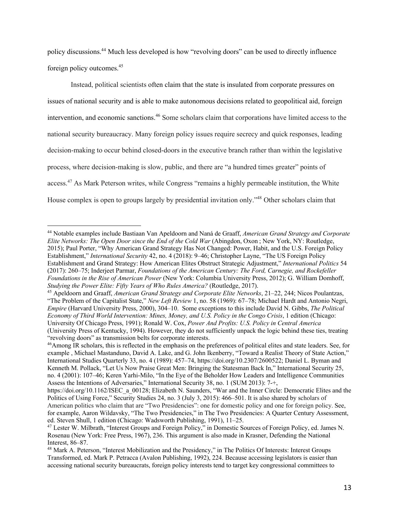policy discussions.44 Much less developed is how "revolving doors" can be used to directly influence foreign policy outcomes.45

Instead, political scientists often claim that the state is insulated from corporate pressures on issues of national security and is able to make autonomous decisions related to geopolitical aid, foreign intervention, and economic sanctions.<sup>46</sup> Some scholars claim that corporations have limited access to the national security bureaucracy. Many foreign policy issues require secrecy and quick responses, leading decision-making to occur behind closed-doors in the executive branch rather than within the legislative process, where decision-making is slow, public, and there are "a hundred times greater" points of access.<sup>47</sup> As Mark Peterson writes, while Congress "remains a highly permeable institution, the White House complex is open to groups largely by presidential invitation only."<sup>48</sup> Other scholars claim that

<sup>44</sup> Notable examples include Bastiaan Van Apeldoorn and Naná de Graaff, *American Grand Strategy and Corporate Elite Networks: The Open Door since the End of the Cold War* (Abingdon, Oxon ; New York, NY: Routledge, 2015); Paul Porter, "Why American Grand Strategy Has Not Changed: Power, Habit, and the U.S. Foreign Policy Establishment," *International Security* 42, no. 4 (2018): 9–46; Christopher Layne, "The US Foreign Policy Establishment and Grand Strategy: How American Elites Obstruct Strategic Adjustment," *International Politics* 54 (2017): 260–75; Inderjeet Parmar, *Foundations of the American Century: The Ford, Carnegie, and Rockefeller Foundations in the Rise of American Power* (New York: Columbia University Press, 2012); G. William Domhoff, *Studying the Power Elite: Fifty Years of Who Rules America?* (Routledge, 2017).

<sup>45</sup> Apeldoorn and Graaff, *American Grand Strategy and Corporate Elite Networks*, 21–22, 244; Nicos Poulantzas, "The Problem of the Capitalist State," *New Left Review* 1, no. 58 (1969): 67–78; Michael Hardt and Antonio Negri, *Empire* (Harvard University Press, 2000), 304–10. Some exceptions to this include David N. Gibbs, *The Political Economy of Third World Intervention: Mines, Money, and U.S. Policy in the Congo Crisis*, 1 edition (Chicago: University Of Chicago Press, 1991); Ronald W. Cox, *Power And Profits: U.S. Policy in Central America* (University Press of Kentucky, 1994). However, they do not sufficiently unpack the logic behind these ties, treating "revolving doors" as transmission belts for corporate interests.

<sup>46</sup>Among IR scholars, this is reflected in the emphasis on the preferences of political elites and state leaders. See, for example , Michael Mastanduno, David A. Lake, and G. John Ikenberry, "Toward a Realist Theory of State Action," International Studies Quarterly 33, no. 4 (1989): 457–74, https://doi.org/10.2307/2600522; Daniel L. Byman and Kenneth M. Pollack, "Let Us Now Praise Great Men: Bringing the Statesman Back In," International Security 25, no. 4 (2001): 107–46; Keren Yarhi-Milo, "In the Eye of the Beholder How Leaders and Intelligence Communities Assess the Intentions of Adversaries," International Security 38, no. 1 (SUM 2013): 7-+,

https://doi.org/10.1162/ISEC\_a\_00128; Elizabeth N. Saunders, "War and the Inner Circle: Democratic Elites and the Politics of Using Force," Security Studies 24, no. 3 (July 3, 2015): 466–501. It is also shared by scholars of American politics who claim that are "Two Presidencies": one for domestic policy and one for foreign policy. See, for example, Aaron Wildavsky, "The Two Presidencies," in The Two Presidencies: A Quarter Century Assessment, ed. Steven Shull, 1 edition (Chicago: Wadsworth Publishing, 1991), 11–25.

<sup>47</sup> Lester W. Milbrath, "Interest Groups and Foreign Policy," in Domestic Sources of Foreign Policy, ed. James N. Rosenau (New York: Free Press, 1967), 236. This argument is also made in Krasner, Defending the National Interest, 86–87.

<sup>&</sup>lt;sup>48</sup> Mark A. Peterson, "Interest Mobilization and the Presidency," in The Politics Of Interests: Interest Groups Transformed, ed. Mark P. Petracca (Avalon Publishing, 1992), 224. Because accessing legislators is easier than accessing national security bureaucrats, foreign policy interests tend to target key congressional committees to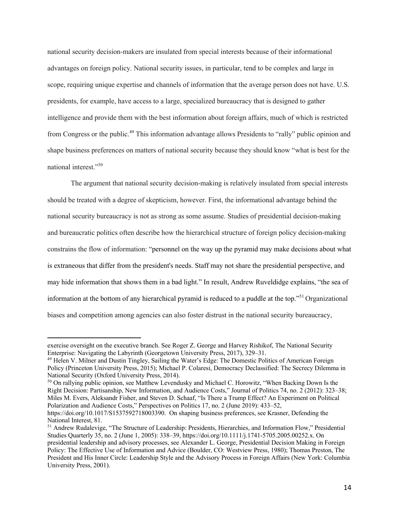national security decision-makers are insulated from special interests because of their informational advantages on foreign policy. National security issues, in particular, tend to be complex and large in scope, requiring unique expertise and channels of information that the average person does not have. U.S. presidents, for example, have access to a large, specialized bureaucracy that is designed to gather intelligence and provide them with the best information about foreign affairs, much of which is restricted from Congress or the public.<sup>49</sup> This information advantage allows Presidents to "rally" public opinion and shape business preferences on matters of national security because they should know "what is best for the national interest."50

The argument that national security decision-making is relatively insulated from special interests should be treated with a degree of skepticism, however. First, the informational advantage behind the national security bureaucracy is not as strong as some assume. Studies of presidential decision-making and bureaucratic politics often describe how the hierarchical structure of foreign policy decision-making constrains the flow of information: "personnel on the way up the pyramid may make decisions about what is extraneous that differ from the president's needs. Staff may not share the presidential perspective, and may hide information that shows them in a bad light." In result, Andrew Ruveldidge explains, "the sea of information at the bottom of any hierarchical pyramid is reduced to a puddle at the top."<sup>51</sup> Organizational biases and competition among agencies can also foster distrust in the national security bureaucracy,

<sup>50</sup> On rallying public opinion, see Matthew Levendusky and Michael C. Horowitz, "When Backing Down Is the Right Decision: Partisanship, New Information, and Audience Costs," Journal of Politics 74, no. 2 (2012): 323–38; Miles M. Evers, Aleksandr Fisher, and Steven D. Schaaf, "Is There a Trump Effect? An Experiment on Political Polarization and Audience Costs," Perspectives on Politics 17, no. 2 (June 2019): 433–52, https://doi.org/10.1017/S1537592718003390. On shaping business preferences, see Krasner, Defending the

exercise oversight on the executive branch. See Roger Z. George and Harvey Rishikof, The National Security Enterprise: Navigating the Labyrinth (Georgetown University Press, 2017), 329–31.

<sup>49</sup> Helen V. Milner and Dustin Tingley, Sailing the Water's Edge: The Domestic Politics of American Foreign Policy (Princeton University Press, 2015); Michael P. Colaresi, Democracy Declassified: The Secrecy Dilemma in National Security (Oxford University Press, 2014).

National Interest, 81.

<sup>51</sup> Andrew Rudalevige, "The Structure of Leadership: Presidents, Hierarchies, and Information Flow," Presidential Studies Quarterly 35, no. 2 (June 1, 2005): 338–39, https://doi.org/10.1111/j.1741-5705.2005.00252.x. On presidential leadership and advisory processes, see Alexander L. George, Presidential Decision Making in Foreign Policy: The Effective Use of Information and Advice (Boulder, CO: Westview Press, 1980); Thomas Preston, The President and His Inner Circle: Leadership Style and the Advisory Process in Foreign Affairs (New York: Columbia University Press, 2001).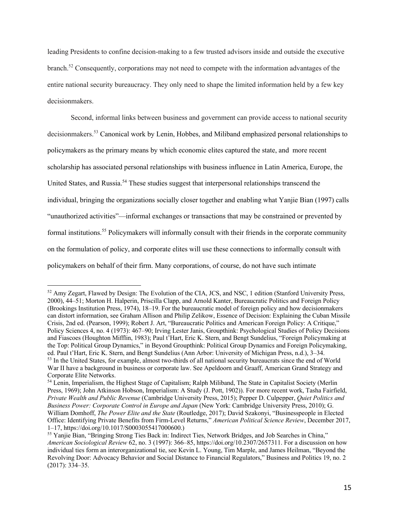leading Presidents to confine decision-making to a few trusted advisors inside and outside the executive branch.52 Consequently, corporations may not need to compete with the information advantages of the entire national security bureaucracy. They only need to shape the limited information held by a few key decisionmakers.

Second, informal links between business and government can provide access to national security decisionmakers.<sup>53</sup> Canonical work by Lenin, Hobbes, and Miliband emphasized personal relationships to policymakers as the primary means by which economic elites captured the state, and more recent scholarship has associated personal relationships with business influence in Latin America, Europe, the United States, and Russia.<sup>54</sup> These studies suggest that interpersonal relationships transcend the individual, bringing the organizations socially closer together and enabling what Yanjie Bian (1997) calls "unauthorized activities"—informal exchanges or transactions that may be constrained or prevented by formal institutions.<sup>55</sup> Policymakers will informally consult with their friends in the corporate community on the formulation of policy, and corporate elites will use these connections to informally consult with policymakers on behalf of their firm. Many corporations, of course, do not have such intimate

<sup>52</sup> Amy Zegart, Flawed by Design: The Evolution of the CIA, JCS, and NSC, 1 edition (Stanford University Press, 2000), 44–51; Morton H. Halperin, Priscilla Clapp, and Arnold Kanter, Bureaucratic Politics and Foreign Policy (Brookings Institution Press, 1974), 18–19. For the bureaucratic model of foreign policy and how decisionmakers can distort information, see Graham Allison and Philip Zelikow, Essence of Decision: Explaining the Cuban Missile Crisis, 2nd ed. (Pearson, 1999); Robert J. Art, "Bureaucratic Politics and American Foreign Policy: A Critique," Policy Sciences 4, no. 4 (1973): 467–90; Irving Lester Janis, Groupthink: Psychological Studies of Policy Decisions and Fiascoes (Houghton Mifflin, 1983); Paul t'Hart, Eric K. Stern, and Bengt Sundelius, "Foreign Policymaking at the Top: Political Group Dynamics," in Beyond Groupthink: Political Group Dynamics and Foreign Policymaking, ed. Paul t'Hart, Eric K. Stern, and Bengt Sundelius (Ann Arbor: University of Michigan Press, n.d.), 3–34. <sup>53</sup> In the United States, for example, almost two-thirds of all national security bureaucrats since the end of World War II have a background in business or corporate law. See Apeldoorn and Graaff, American Grand Strategy and Corporate Elite Networks.

<sup>54</sup> Lenin, Imperialism, the Highest Stage of Capitalism; Ralph Miliband, The State in Capitalist Society (Merlin Press, 1969); John Atkinson Hobson, Imperialism: A Study (J. Pott, 1902)). For more recent work, Tasha Fairfield, *Private Wealth and Public Revenue* (Cambridge University Press, 2015); Pepper D. Culpepper, *Quiet Politics and Business Power: Corporate Control in Europe and Japan* (New York: Cambridge University Press, 2010); G. William Domhoff, *The Power Elite and the State* (Routledge, 2017); David Szakonyi, "Businesspeople in Elected Office: Identifying Private Benefits from Firm-Level Returns," *American Political Science Review*, December 2017, 1–17, https://doi.org/10.1017/S0003055417000600.)

<sup>&</sup>lt;sup>55</sup> Yanjie Bian, "Bringing Strong Ties Back in: Indirect Ties, Network Bridges, and Job Searches in China," *American Sociological Review* 62, no. 3 (1997): 366–85, https://doi.org/10.2307/2657311. For a discussion on how individual ties form an interorganizational tie, see Kevin L. Young, Tim Marple, and James Heilman, "Beyond the Revolving Door: Advocacy Behavior and Social Distance to Financial Regulators," Business and Politics 19, no. 2 (2017): 334–35.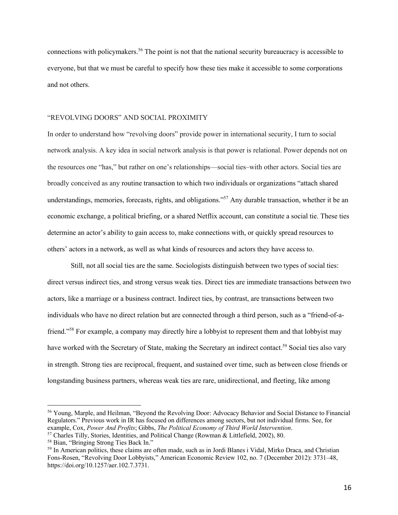connections with policymakers.<sup>56</sup> The point is not that the national security bureaucracy is accessible to everyone, but that we must be careful to specify how these ties make it accessible to some corporations and not others.

### "REVOLVING DOORS" AND SOCIAL PROXIMITY

In order to understand how "revolving doors" provide power in international security, I turn to social network analysis. A key idea in social network analysis is that power is relational. Power depends not on the resources one "has," but rather on one's relationships—social ties–with other actors. Social ties are broadly conceived as any routine transaction to which two individuals or organizations "attach shared understandings, memories, forecasts, rights, and obligations."<sup>57</sup> Any durable transaction, whether it be an economic exchange, a political briefing, or a shared Netflix account, can constitute a social tie. These ties determine an actor's ability to gain access to, make connections with, or quickly spread resources to others' actors in a network, as well as what kinds of resources and actors they have access to.

Still, not all social ties are the same. Sociologists distinguish between two types of social ties: direct versus indirect ties, and strong versus weak ties. Direct ties are immediate transactions between two actors, like a marriage or a business contract. Indirect ties, by contrast, are transactions between two individuals who have no direct relation but are connected through a third person, such as a "friend-of-afriend."58 For example, a company may directly hire a lobbyist to represent them and that lobbyist may have worked with the Secretary of State, making the Secretary an indirect contact.<sup>59</sup> Social ties also vary in strength. Strong ties are reciprocal, frequent, and sustained over time, such as between close friends or longstanding business partners, whereas weak ties are rare, unidirectional, and fleeting, like among

<sup>56</sup> Young, Marple, and Heilman, "Beyond the Revolving Door: Advocacy Behavior and Social Distance to Financial Regulators." Previous work in IR has focused on differences among sectors, but not individual firms. See, for example, Cox, *Power And Profits*; Gibbs, *The Political Economy of Third World Intervention*.

<sup>57</sup> Charles Tilly, Stories, Identities, and Political Change (Rowman & Littlefield, 2002), 80.

<sup>58</sup> Bian, "Bringing Strong Ties Back In."

<sup>59</sup> In American politics, these claims are often made, such as in Jordi Blanes i Vidal, Mirko Draca, and Christian Fons-Rosen, "Revolving Door Lobbyists," American Economic Review 102, no. 7 (December 2012): 3731–48, https://doi.org/10.1257/aer.102.7.3731.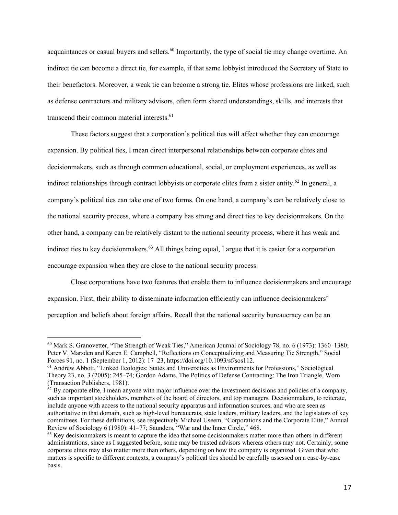acquaintances or casual buyers and sellers.<sup>60</sup> Importantly, the type of social tie may change overtime. An indirect tie can become a direct tie, for example, if that same lobbyist introduced the Secretary of State to their benefactors. Moreover, a weak tie can become a strong tie. Elites whose professions are linked, such as defense contractors and military advisors, often form shared understandings, skills, and interests that transcend their common material interests.<sup>61</sup>

These factors suggest that a corporation's political ties will affect whether they can encourage expansion. By political ties, I mean direct interpersonal relationships between corporate elites and decisionmakers, such as through common educational, social, or employment experiences, as well as indirect relationships through contract lobbyists or corporate elites from a sister entity.<sup>62</sup> In general, a company's political ties can take one of two forms. On one hand, a company's can be relatively close to the national security process, where a company has strong and direct ties to key decisionmakers. On the other hand, a company can be relatively distant to the national security process, where it has weak and indirect ties to key decisionmakers.<sup>63</sup> All things being equal, I argue that it is easier for a corporation encourage expansion when they are close to the national security process.

Close corporations have two features that enable them to influence decisionmakers and encourage expansion. First, their ability to disseminate information efficiently can influence decisionmakers' perception and beliefs about foreign affairs. Recall that the national security bureaucracy can be an

<sup>60</sup> Mark S. Granovetter, "The Strength of Weak Ties," American Journal of Sociology 78, no. 6 (1973): 1360–1380; Peter V. Marsden and Karen E. Campbell, "Reflections on Conceptualizing and Measuring Tie Strength," Social Forces 91, no. 1 (September 1, 2012): 17–23, https://doi.org/10.1093/sf/sos112.

<sup>61</sup> Andrew Abbott, "Linked Ecologies: States and Universities as Environments for Professions," Sociological Theory 23, no. 3 (2005): 245–74; Gordon Adams, The Politics of Defense Contracting: The Iron Triangle, Worn (Transaction Publishers, 1981).

 $62$  By corporate elite, I mean anyone with major influence over the investment decisions and policies of a company, such as important stockholders, members of the board of directors, and top managers. Decisionmakers, to reiterate, include anyone with access to the national security apparatus and information sources, and who are seen as authoritative in that domain, such as high-level bureaucrats, state leaders, military leaders, and the legislators of key committees. For these definitions, see respectively Michael Useem, "Corporations and the Corporate Elite," Annual Review of Sociology 6 (1980): 41–77; Saunders, "War and the Inner Circle," 468.

 $63$  Key decisionmakers is meant to capture the idea that some decisionmakers matter more than others in different administrations, since as I suggested before, some may be trusted advisors whereas others may not. Certainly, some corporate elites may also matter more than others, depending on how the company is organized. Given that who matters is specific to different contexts, a company's political ties should be carefully assessed on a case-by-case basis.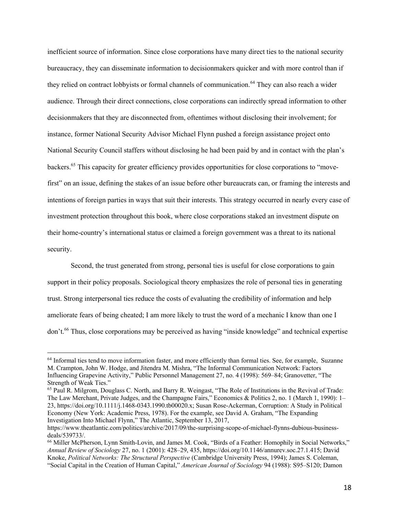inefficient source of information. Since close corporations have many direct ties to the national security bureaucracy, they can disseminate information to decisionmakers quicker and with more control than if they relied on contract lobbyists or formal channels of communication.<sup>64</sup> They can also reach a wider audience. Through their direct connections, close corporations can indirectly spread information to other decisionmakers that they are disconnected from, oftentimes without disclosing their involvement; for instance, former National Security Advisor Michael Flynn pushed a foreign assistance project onto National Security Council staffers without disclosing he had been paid by and in contact with the plan's backers.65 This capacity for greater efficiency provides opportunities for close corporations to "movefirst" on an issue, defining the stakes of an issue before other bureaucrats can, or framing the interests and intentions of foreign parties in ways that suit their interests. This strategy occurred in nearly every case of investment protection throughout this book, where close corporations staked an investment dispute on their home-country's international status or claimed a foreign government was a threat to its national security.

Second, the trust generated from strong, personal ties is useful for close corporations to gain support in their policy proposals. Sociological theory emphasizes the role of personal ties in generating trust. Strong interpersonal ties reduce the costs of evaluating the credibility of information and help ameliorate fears of being cheated; I am more likely to trust the word of a mechanic I know than one I don't.<sup>66</sup> Thus, close corporations may be perceived as having "inside knowledge" and technical expertise

<sup>&</sup>lt;sup>64</sup> Informal ties tend to move information faster, and more efficiently than formal ties. See, for example, Suzanne M. Crampton, John W. Hodge, and Jitendra M. Mishra, "The Informal Communication Network: Factors Influencing Grapevine Activity," Public Personnel Management 27, no. 4 (1998): 569–84; Granovetter, "The Strength of Weak Ties."

<sup>65</sup> Paul R. Milgrom, Douglass C. North, and Barry R. Weingast, "The Role of Institutions in the Revival of Trade: The Law Merchant, Private Judges, and the Champagne Fairs," Economics & Politics 2, no. 1 (March 1, 1990): 1– 23, https://doi.org/10.1111/j.1468-0343.1990.tb00020.x; Susan Rose-Ackerman, Corruption: A Study in Political Economy (New York: Academic Press, 1978). For the example, see David A. Graham, "The Expanding Investigation Into Michael Flynn," The Atlantic, September 13, 2017,

https://www.theatlantic.com/politics/archive/2017/09/the-surprising-scope-of-michael-flynns-dubious-businessdeals/539733/.

<sup>66</sup> Miller McPherson, Lynn Smith-Lovin, and James M. Cook, "Birds of a Feather: Homophily in Social Networks," *Annual Review of Sociology* 27, no. 1 (2001): 428–29, 435, https://doi.org/10.1146/annurev.soc.27.1.415; David Knoke, *Political Networks: The Structural Perspective* (Cambridge University Press, 1994); James S. Coleman, "Social Capital in the Creation of Human Capital," *American Journal of Sociology* 94 (1988): S95–S120; Damon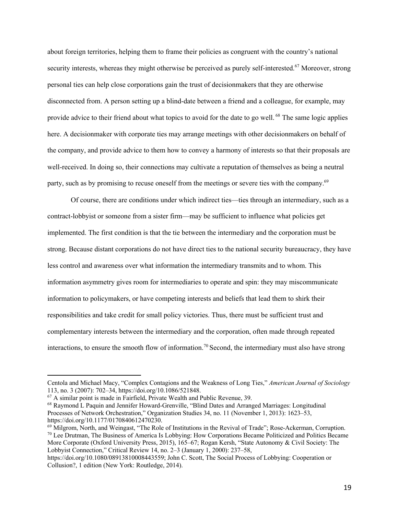about foreign territories, helping them to frame their policies as congruent with the country's national security interests, whereas they might otherwise be perceived as purely self-interested.<sup>67</sup> Moreover, strong personal ties can help close corporations gain the trust of decisionmakers that they are otherwise disconnected from. A person setting up a blind-date between a friend and a colleague, for example, may provide advice to their friend about what topics to avoid for the date to go well. <sup>68</sup> The same logic applies here. A decisionmaker with corporate ties may arrange meetings with other decisionmakers on behalf of the company, and provide advice to them how to convey a harmony of interests so that their proposals are well-received. In doing so, their connections may cultivate a reputation of themselves as being a neutral party, such as by promising to recuse oneself from the meetings or severe ties with the company.<sup>69</sup>

Of course, there are conditions under which indirect ties—ties through an intermediary, such as a contract-lobbyist or someone from a sister firm—may be sufficient to influence what policies get implemented. The first condition is that the tie between the intermediary and the corporation must be strong. Because distant corporations do not have direct ties to the national security bureaucracy, they have less control and awareness over what information the intermediary transmits and to whom. This information asymmetry gives room for intermediaries to operate and spin: they may miscommunicate information to policymakers, or have competing interests and beliefs that lead them to shirk their responsibilities and take credit for small policy victories. Thus, there must be sufficient trust and complementary interests between the intermediary and the corporation, often made through repeated interactions, to ensure the smooth flow of information.<sup>70</sup> Second, the intermediary must also have strong

Centola and Michael Macy, "Complex Contagions and the Weakness of Long Ties," *American Journal of Sociology* 113, no. 3 (2007): 702–34, https://doi.org/10.1086/521848.

<sup>67</sup> A similar point is made in Fairfield, Private Wealth and Public Revenue, 39.

<sup>68</sup> Raymond L Paquin and Jennifer Howard-Grenville, "Blind Dates and Arranged Marriages: Longitudinal Processes of Network Orchestration," Organization Studies 34, no. 11 (November 1, 2013): 1623–53, https://doi.org/10.1177/0170840612470230.

<sup>69</sup> Milgrom, North, and Weingast, "The Role of Institutions in the Revival of Trade"; Rose-Ackerman, Corruption. <sup>70</sup> Lee Drutman, The Business of America Is Lobbying: How Corporations Became Politicized and Politics Became More Corporate (Oxford University Press, 2015), 165–67; Rogan Kersh, "State Autonomy & Civil Society: The Lobbyist Connection," Critical Review 14, no. 2–3 (January 1, 2000): 237–58,

https://doi.org/10.1080/08913810008443559; John C. Scott, The Social Process of Lobbying: Cooperation or Collusion?, 1 edition (New York: Routledge, 2014).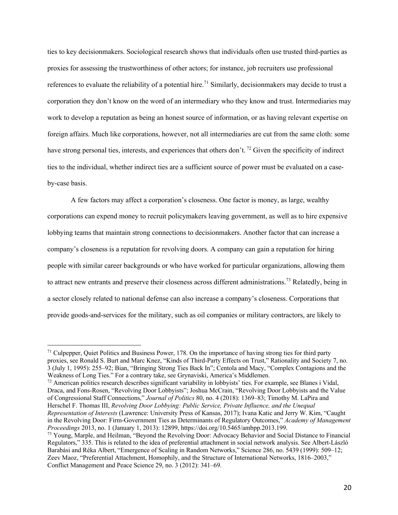ties to key decisionmakers. Sociological research shows that individuals often use trusted third-parties as proxies for assessing the trustworthiness of other actors; for instance, job recruiters use professional references to evaluate the reliability of a potential hire.<sup>71</sup> Similarly, decisionmakers may decide to trust a corporation they don't know on the word of an intermediary who they know and trust. Intermediaries may work to develop a reputation as being an honest source of information, or as having relevant expertise on foreign affairs. Much like corporations, however, not all intermediaries are cut from the same cloth: some have strong personal ties, interests, and experiences that others don't.<sup>72</sup> Given the specificity of indirect ties to the individual, whether indirect ties are a sufficient source of power must be evaluated on a caseby-case basis.

A few factors may affect a corporation's closeness. One factor is money, as large, wealthy corporations can expend money to recruit policymakers leaving government, as well as to hire expensive lobbying teams that maintain strong connections to decisionmakers. Another factor that can increase a company's closeness is a reputation for revolving doors. A company can gain a reputation for hiring people with similar career backgrounds or who have worked for particular organizations, allowing them to attract new entrants and preserve their closeness across different administrations.<sup>73</sup> Relatedly, being in a sector closely related to national defense can also increase a company's closeness. Corporations that provide goods-and-services for the military, such as oil companies or military contractors, are likely to

 $72$  American politics research describes significant variability in lobbyists' ties. For example, see Blanes i Vidal, Draca, and Fons-Rosen, "Revolving Door Lobbyists"; Joshua McCrain, "Revolving Door Lobbyists and the Value of Congressional Staff Connections," *Journal of Politics* 80, no. 4 (2018): 1369–83; Timothy M. LaPira and Herschel F. Thomas III, *Revolving Door Lobbying: Public Service, Private Influence, and the Unequal Representation of Interests* (Lawrence: University Press of Kansas, 2017); Ivana Katic and Jerry W. Kim, "Caught in the Revolving Door: Firm-Government Ties as Determinants of Regulatory Outcomes," *Academy of Management Proceedings* 2013, no. 1 (January 1, 2013): 12899, https://doi.org/10.5465/ambpp.2013.199.

 $71$  Culpepper, Quiet Politics and Business Power, 178. On the importance of having strong ties for third party proxies, see Ronald S. Burt and Marc Knez, "Kinds of Third-Party Effects on Trust," Rationality and Society 7, no. 3 (July 1, 1995): 255–92; Bian, "Bringing Strong Ties Back In"; Centola and Macy, "Complex Contagions and the Weakness of Long Ties." For a contrary take, see Grynaviski, America's Middlemen.

<sup>&</sup>lt;sup>73</sup> Young, Marple, and Heilman, "Beyond the Revolving Door: Advocacy Behavior and Social Distance to Financial Regulators," 335. This is related to the idea of preferential attachment in social network analysis. See Albert-László Barabási and Réka Albert, "Emergence of Scaling in Random Networks," Science 286, no. 5439 (1999): 509–12; Zeev Maoz, "Preferential Attachment, Homophily, and the Structure of International Networks, 1816–2003," Conflict Management and Peace Science 29, no. 3 (2012): 341–69.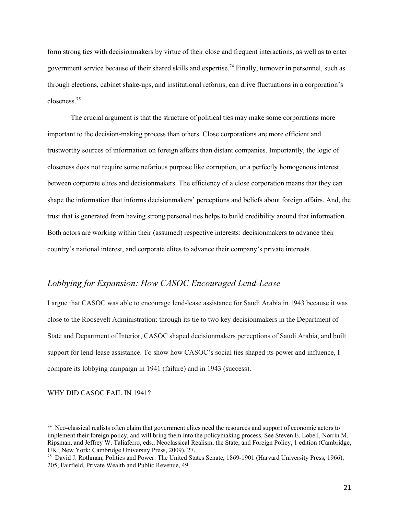form strong ties with decisionmakers by virtue of their close and frequent interactions, as well as to enter government service because of their shared skills and expertise.74 Finally, turnover in personnel, such as through elections, cabinet shake-ups, and institutional reforms, can drive fluctuations in a corporation's closeness.<sup>75</sup>

The crucial argument is that the structure of political ties may make some corporations more important to the decision-making process than others. Close corporations are more efficient and trustworthy sources of information on foreign affairs than distant companies. Importantly, the logic of closeness does not require some nefarious purpose like corruption, or a perfectly homogenous interest between corporate elites and decisionmakers. The efficiency of a close corporation means that they can shape the information that informs decisionmakers' perceptions and beliefs about foreign affairs. And, the trust that is generated from having strong personal ties helps to build credibility around that information. Both actors are working within their (assumed) respective interests: decisionmakers to advance their country's national interest, and corporate elites to advance their company's private interests.

# *Lobbying for Expansion: How CASOC Encouraged Lend-Lease*

I argue that CASOC was able to encourage lend-lease assistance for Saudi Arabia in 1943 because it was close to the Roosevelt Administration: through its tie to two key decisionmakers in the Department of State and Department of Interior, CASOC shaped decisionmakers perceptions of Saudi Arabia, and built support for lend-lease assistance. To show how CASOC's social ties shaped its power and influence, I compare its lobbying campaign in 1941 (failure) and in 1943 (success).

WHY DID CASOC FAIL IN 1941?

<sup>74</sup> Neo-classical realists often claim that government elites need the resources and support of economic actors to implement their foreign policy, and will bring them into the policymaking process. See Steven E. Lobell, Norrin M. Ripsman, and Jeffrey W. Taliaferro, eds., Neoclassical Realism, the State, and Foreign Policy, 1 edition (Cambridge, UK ; New York: Cambridge University Press, 2009), 27.

<sup>&</sup>lt;sup>75</sup> David J. Rothman, Politics and Power: The United States Senate, 1869-1901 (Harvard University Press, 1966), 205; Fairfield, Private Wealth and Public Revenue, 49.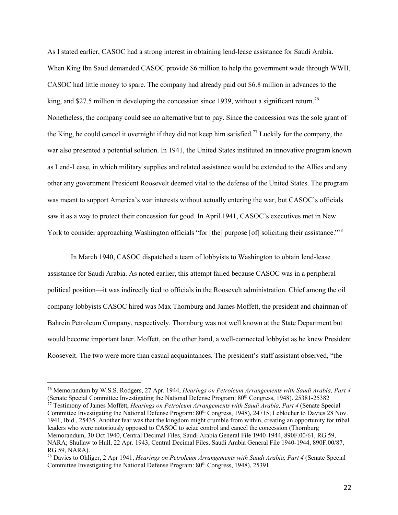As I stated earlier, CASOC had a strong interest in obtaining lend-lease assistance for Saudi Arabia. When King Ibn Saud demanded CASOC provide \$6 million to help the government wade through WWII, CASOC had little money to spare. The company had already paid out \$6.8 million in advances to the king, and \$27.5 million in developing the concession since 1939, without a significant return.<sup>76</sup> Nonetheless, the company could see no alternative but to pay. Since the concession was the sole grant of the King, he could cancel it overnight if they did not keep him satisfied.77 Luckily for the company, the war also presented a potential solution. In 1941, the United States instituted an innovative program known as Lend-Lease, in which military supplies and related assistance would be extended to the Allies and any other any government President Roosevelt deemed vital to the defense of the United States. The program was meant to support America's war interests without actually entering the war, but CASOC's officials saw it as a way to protect their concession for good. In April 1941, CASOC's executives met in New York to consider approaching Washington officials "for [the] purpose [of] soliciting their assistance."<sup>78</sup>

In March 1940, CASOC dispatched a team of lobbyists to Washington to obtain lend-lease assistance for Saudi Arabia. As noted earlier, this attempt failed because CASOC was in a peripheral political position—it was indirectly tied to officials in the Roosevelt administration. Chief among the oil company lobbyists CASOC hired was Max Thornburg and James Moffett, the president and chairman of Bahrein Petroleum Company, respectively. Thornburg was not well known at the State Department but would become important later. Moffett, on the other hand, a well-connected lobbyist as he knew President Roosevelt. The two were more than casual acquaintances. The president's staff assistant observed, "the

Committee Investigating the National Defense Program: 80<sup>th</sup> Congress, 1948), 24715; Lebkicher to Davies 28 Nov. 1941, Ibid., 25435. Another fear was that the kingdom might crumble from within, creating an opportunity for tribal leaders who were notoriously opposed to CASOC to seize control and cancel the concession (Thornburg Memorandum, 30 Oct 1940, Central Decimal Files, Saudi Arabia General File 1940-1944, 890F.00/61, RG 59, NARA; Shullaw to Hull, 22 Apr. 1943, Central Decimal Files, Saudi Arabia General File 1940-1944, 890F.00/87, RG 59, NARA).

<sup>76</sup> Memorandum by W.S.S. Rodgers, 27 Apr. 1944, *Hearings on Petroleum Arrangements with Saudi Arabia, Part 4* (Senate Special Committee Investigating the National Defense Program: 80th Congress, 1948). 25381-25382 <sup>77</sup> Testimony of James Moffett, *Hearings on Petroleum Arrangements with Saudi Arabia, Part 4* (Senate Special

<sup>78</sup> Davies to Ohliger, 2 Apr 1941, *Hearings on Petroleum Arrangements with Saudi Arabia, Part 4* (Senate Special Committee Investigating the National Defense Program: 80<sup>th</sup> Congress, 1948), 25391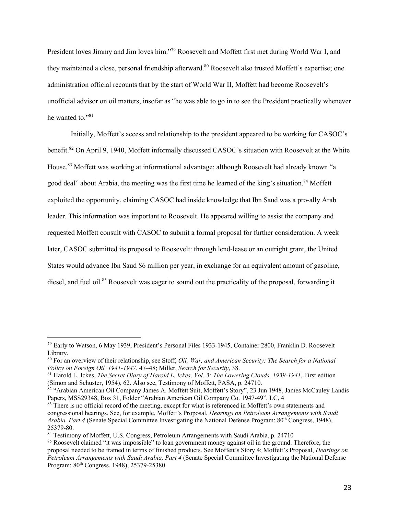President loves Jimmy and Jim loves him."79 Roosevelt and Moffett first met during World War I, and they maintained a close, personal friendship afterward.<sup>80</sup> Roosevelt also trusted Moffett's expertise; one administration official recounts that by the start of World War II, Moffett had become Roosevelt's unofficial advisor on oil matters, insofar as "he was able to go in to see the President practically whenever he wanted to."<sup>81</sup>

Initially, Moffett's access and relationship to the president appeared to be working for CASOC's benefit.<sup>82</sup> On April 9, 1940, Moffett informally discussed CASOC's situation with Roosevelt at the White House.<sup>83</sup> Moffett was working at informational advantage; although Roosevelt had already known "a good deal" about Arabia, the meeting was the first time he learned of the king's situation.<sup>84</sup> Moffett exploited the opportunity, claiming CASOC had inside knowledge that Ibn Saud was a pro-ally Arab leader. This information was important to Roosevelt. He appeared willing to assist the company and requested Moffett consult with CASOC to submit a formal proposal for further consideration. A week later, CASOC submitted its proposal to Roosevelt: through lend-lease or an outright grant, the United States would advance Ibn Saud \$6 million per year, in exchange for an equivalent amount of gasoline, diesel, and fuel oil.<sup>85</sup> Roosevelt was eager to sound out the practicality of the proposal, forwarding it

<sup>79</sup> Early to Watson, 6 May 1939, President's Personal Files 1933-1945, Container 2800, Franklin D. Roosevelt Library.

<sup>80</sup> For an overview of their relationship, see Stoff, *Oil, War, and American Security: The Search for a National Policy on Foreign Oil, 1941-1947*, 47–48; Miller, *Search for Security*, 38.

<sup>&</sup>lt;sup>81</sup> Harold L. Ickes, *The Secret Diary of Harold L. Ickes, Vol. 3: The Lowering Clouds, 1939-1941*, First edition (Simon and Schuster, 1954), 62. Also see, Testimony of Moffett, PASA, p. 24710.

 $s<sup>82</sup>$  "Arabian American Oil Company James A. Moffett Suit, Moffett's Story", 23 Jun 1948, James McCauley Landis Papers, MSS29348, Box 31, Folder "Arabian American Oil Company Co. 1947-49", LC, 4

<sup>&</sup>lt;sup>83</sup> There is no official record of the meeting, except for what is referenced in Moffett's own statements and congressional hearings. See, for example, Moffett's Proposal, *Hearings on Petroleum Arrangements with Saudi Arabia, Part 4* (Senate Special Committee Investigating the National Defense Program: 80<sup>th</sup> Congress, 1948), 25379-80.

<sup>84</sup> Testimony of Moffett, U.S. Congress, Petroleum Arrangements with Saudi Arabia, p. 24710

<sup>85</sup> Roosevelt claimed "it was impossible" to loan government money against oil in the ground. Therefore, the proposal needed to be framed in terms of finished products. See Moffett's Story 4; Moffett's Proposal, *Hearings on Petroleum Arrangements with Saudi Arabia, Part 4* (Senate Special Committee Investigating the National Defense Program: 80<sup>th</sup> Congress, 1948), 25379-25380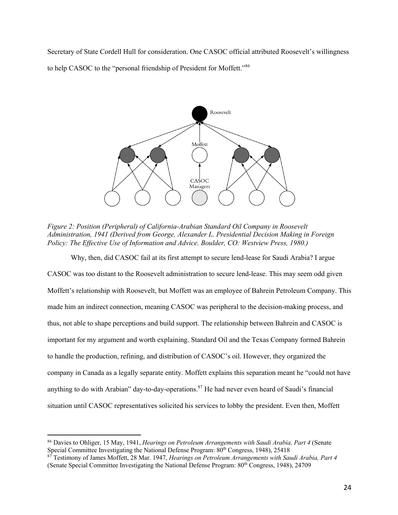Secretary of State Cordell Hull for consideration. One CASOC official attributed Roosevelt's willingness to help CASOC to the "personal friendship of President for Moffett."86



*Figure 2: Position (Peripheral) of California-Arabian Standard Oil Company in Roosevelt Administration, 1941 (Derived from George, Alexander L. Presidential Decision Making in Foreign Policy: The Effective Use of Information and Advice. Boulder, CO: Westview Press, 1980.)* 

Why, then, did CASOC fail at its first attempt to secure lend-lease for Saudi Arabia? I argue CASOC was too distant to the Roosevelt administration to secure lend-lease. This may seem odd given Moffett's relationship with Roosevelt, but Moffett was an employee of Bahrein Petroleum Company. This made him an indirect connection, meaning CASOC was peripheral to the decision-making process, and thus, not able to shape perceptions and build support. The relationship between Bahrein and CASOC is important for my argument and worth explaining. Standard Oil and the Texas Company formed Bahrein to handle the production, refining, and distribution of CASOC's oil. However, they organized the company in Canada as a legally separate entity. Moffett explains this separation meant he "could not have anything to do with Arabian" day-to-day-operations.<sup>87</sup> He had never even heard of Saudi's financial situation until CASOC representatives solicited his services to lobby the president. Even then, Moffett

<sup>86</sup> Davies to Ohliger, 15 May, 1941, *Hearings on Petroleum Arrangements with Saudi Arabia, Part 4* (Senate Special Committee Investigating the National Defense Program: 80<sup>th</sup> Congress, 1948), 25418<br><sup>87</sup> Testimony of James Moffett, 28 Mar. 1947, *Hearings on Petroleum Arrangements with Saudi Arabia, Part 4* 

<sup>(</sup>Senate Special Committee Investigating the National Defense Program: 80th Congress, 1948), 24709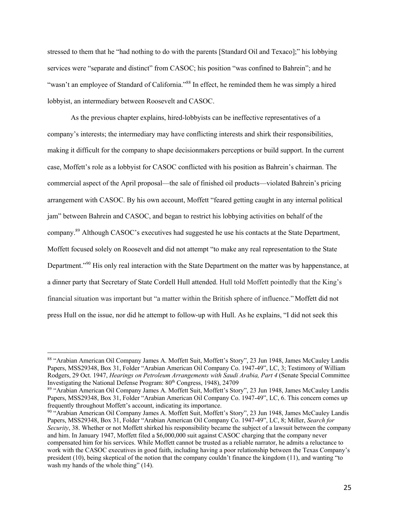stressed to them that he "had nothing to do with the parents [Standard Oil and Texaco];" his lobbying services were "separate and distinct" from CASOC; his position "was confined to Bahrein"; and he "wasn't an employee of Standard of California."<sup>88</sup> In effect, he reminded them he was simply a hired lobbyist, an intermediary between Roosevelt and CASOC.

As the previous chapter explains, hired-lobbyists can be ineffective representatives of a company's interests; the intermediary may have conflicting interests and shirk their responsibilities, making it difficult for the company to shape decisionmakers perceptions or build support. In the current case, Moffett's role as a lobbyist for CASOC conflicted with his position as Bahrein's chairman. The commercial aspect of the April proposal—the sale of finished oil products—violated Bahrein's pricing arrangement with CASOC. By his own account, Moffett "feared getting caught in any internal political jam" between Bahrein and CASOC, and began to restrict his lobbying activities on behalf of the company.89 Although CASOC's executives had suggested he use his contacts at the State Department, Moffett focused solely on Roosevelt and did not attempt "to make any real representation to the State Department."90 His only real interaction with the State Department on the matter was by happenstance, at a dinner party that Secretary of State Cordell Hull attended. Hull told Moffett pointedly that the King's financial situation was important but "a matter within the British sphere of influence." Moffett did not press Hull on the issue, nor did he attempt to follow-up with Hull. As he explains, "I did not seek this

<sup>88 &</sup>quot;Arabian American Oil Company James A. Moffett Suit, Moffett's Story", 23 Jun 1948, James McCauley Landis Papers, MSS29348, Box 31, Folder "Arabian American Oil Company Co. 1947-49", LC, 3; Testimony of William Rodgers, 29 Oct. 1947, *Hearings on Petroleum Arrangements with Saudi Arabia, Part 4* (Senate Special Committee Investigating the National Defense Program: 80<sup>th</sup> Congress, 1948), 24709

<sup>89</sup> "Arabian American Oil Company James A. Moffett Suit, Moffett's Story", 23 Jun 1948, James McCauley Landis Papers, MSS29348, Box 31, Folder "Arabian American Oil Company Co. 1947-49", LC, 6. This concern comes up frequently throughout Moffett's account, indicating its importance.

<sup>90 &</sup>quot;Arabian American Oil Company James A. Moffett Suit, Moffett's Story", 23 Jun 1948, James McCauley Landis Papers, MSS29348, Box 31, Folder "Arabian American Oil Company Co. 1947-49", LC, 8; Miller, *Search for Security*, 38. Whether or not Moffett shirked his responsibility became the subject of a lawsuit between the company and him. In January 1947, Moffett filed a \$6,000,000 suit against CASOC charging that the company never compensated him for his services. While Moffett cannot be trusted as a reliable narrator, he admits a reluctance to work with the CASOC executives in good faith, including having a poor relationship between the Texas Company's president (10), being skeptical of the notion that the company couldn't finance the kingdom (11), and wanting "to wash my hands of the whole thing" (14).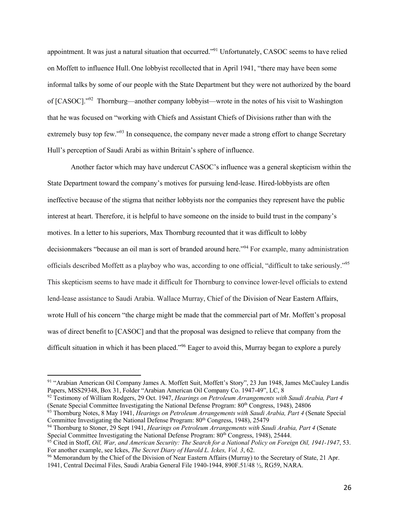appointment. It was just a natural situation that occurred."<sup>91</sup> Unfortunately, CASOC seems to have relied on Moffett to influence Hull. One lobbyist recollected that in April 1941, "there may have been some informal talks by some of our people with the State Department but they were not authorized by the board of [CASOC]."92 Thornburg—another company lobbyist—wrote in the notes of his visit to Washington that he was focused on "working with Chiefs and Assistant Chiefs of Divisions rather than with the extremely busy top few."<sup>93</sup> In consequence, the company never made a strong effort to change Secretary Hull's perception of Saudi Arabi as within Britain's sphere of influence.

Another factor which may have undercut CASOC's influence was a general skepticism within the State Department toward the company's motives for pursuing lend-lease. Hired-lobbyists are often ineffective because of the stigma that neither lobbyists nor the companies they represent have the public interest at heart. Therefore, it is helpful to have someone on the inside to build trust in the company's motives. In a letter to his superiors, Max Thornburg recounted that it was difficult to lobby decisionmakers "because an oil man is sort of branded around here."<sup>94</sup> For example, many administration officials described Moffett as a playboy who was, according to one official, "difficult to take seriously."95 This skepticism seems to have made it difficult for Thornburg to convince lower-level officials to extend lend-lease assistance to Saudi Arabia. Wallace Murray, Chief of the Division of Near Eastern Affairs, wrote Hull of his concern "the charge might be made that the commercial part of Mr. Moffett's proposal was of direct benefit to [CASOC] and that the proposal was designed to relieve that company from the difficult situation in which it has been placed."<sup>96</sup> Eager to avoid this, Murray began to explore a purely

<sup>92</sup> Testimony of William Rodgers, 29 Oct. 1947, *Hearings on Petroleum Arrangements with Saudi Arabia, Part 4* (Senate Special Committee Investigating the National Defense Program: 80th Congress, 1948), 24806

<sup>91</sup> "Arabian American Oil Company James A. Moffett Suit, Moffett's Story", 23 Jun 1948, James McCauley Landis Papers, MSS29348, Box 31, Folder "Arabian American Oil Company Co. 1947-49", LC, 8

<sup>93</sup> Thornburg Notes, 8 May 1941, *Hearings on Petroleum Arrangements with Saudi Arabia, Part 4* (Senate Special Committee Investigating the National Defense Program: 80<sup>th</sup> Congress, 1948), 25479

<sup>94</sup> Thornburg to Stoner, 29 Sept 1941, *Hearings on Petroleum Arrangements with Saudi Arabia, Part 4* (Senate Special Committee Investigating the National Defense Program:  $80^{th}$  Congress, 1948), 25444.

<sup>&</sup>lt;sup>95</sup> Cited in Stoff, *Oil, War, and American Security: The Search for a National Policy on Foreign Oil, 1941-1947, 53.* For another example, see Ickes, *The Secret Diary of Harold L. Ickes, Vol. 3*, 62.

<sup>&</sup>lt;sup>96</sup> Memorandum by the Chief of the Division of Near Eastern Affairs (Murray) to the Secretary of State, 21 Apr. 1941, Central Decimal Files, Saudi Arabia General File 1940-1944, 890F.51/48 ½, RG59, NARA.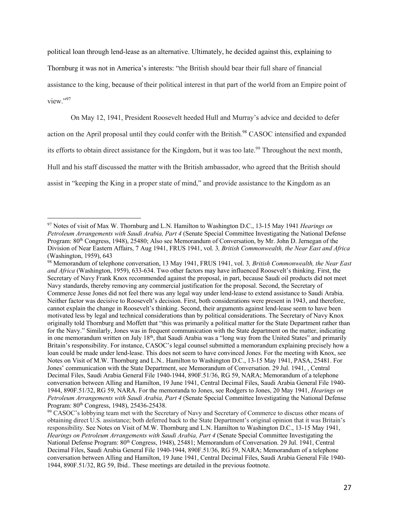political loan through lend-lease as an alternative. Ultimately, he decided against this, explaining to

Thornburg it was not in America's interests: "the British should bear their full share of financial

assistance to the king, because of their political interest in that part of the world from an Empire point of view."97

On May 12, 1941, President Roosevelt heeded Hull and Murray's advice and decided to defer

action on the April proposal until they could confer with the British.<sup>98</sup> CASOC intensified and expanded

its efforts to obtain direct assistance for the Kingdom, but it was too late.<sup>99</sup> Throughout the next month,

Hull and his staff discussed the matter with the British ambassador, who agreed that the British should

assist in "keeping the King in a proper state of mind," and provide assistance to the Kingdom as an

<sup>97</sup> Notes of visit of Max W. Thornburg and L.N. Hamilton to Washington D.C., 13-15 May 1941 *Hearings on Petroleum Arrangements with Saudi Arabia, Part 4* (Senate Special Committee Investigating the National Defense Program: 80<sup>th</sup> Congress, 1948), 25480; Also see Memorandum of Conversation, by Mr. John D. Jernegan of the Division of Near Eastern Affairs, 7 Aug 1941, FRUS 1941, vol. 3*, British Commonwealth, the Near East and Africa* (Washington, 1959), 643

<sup>98</sup> Memorandum of telephone conversation, 13 May 1941, FRUS 1941, vol. 3*, British Commonwealth, the Near East and Africa* (Washington, 1959), 633-634. Two other factors may have influenced Roosevelt's thinking. First, the Secretary of Navy Frank Knox recommended against the proposal, in part, because Saudi oil products did not meet Navy standards, thereby removing any commercial justification for the proposal. Second, the Secretary of Commerce Jesse Jones did not feel there was any legal way under lend-lease to extend assistance to Saudi Arabia. Neither factor was decisive to Roosevelt's decision. First, both considerations were present in 1943, and therefore, cannot explain the change in Roosevelt's thinking. Second, their arguments against lend-lease seem to have been motivated less by legal and technical considerations than by political considerations. The Secretary of Navy Knox originally told Thornburg and Moffett that "this was primarily a political matter for the State Department rather than for the Navy." Similarly, Jones was in frequent communication with the State department on the matter, indicating in one memorandum written on July 18<sup>th</sup>, that Saudi Arabia was a "long way from the United States" and primarily Britain's responsibility. For instance, CASOC's legal counsel submitted a memorandum explaining precisely how a loan could be made under lend-lease. This does not seem to have convinced Jones. For the meeting with Knox, see Notes on Visit of M.W. Thornburg and L.N.. Hamilton to Washington D.C., 13-15 May 1941, PASA, 25481. For Jones' communication with the State Department, see Memorandum of Conversation. 29 Jul. 1941, , Central Decimal Files, Saudi Arabia General File 1940-1944, 890F.51/36, RG 59, NARA; Memorandum of a telephone conversation between Alling and Hamilton, 19 June 1941, Central Decimal Files, Saudi Arabia General File 1940- 1944, 890F.51/32, RG 59, NARA. For the memoranda to Jones, see Rodgers to Jones, 20 May 1941, *Hearings on Petroleum Arrangements with Saudi Arabia, Part 4* (Senate Special Committee Investigating the National Defense

Program: 80<sup>th</sup> Congress, 1948), 25436-25438.<br><sup>99</sup> CASOC's lobbying team met with the Secretary of Navy and Secretary of Commerce to discuss other means of obtaining direct U.S. assistance; both deferred back to the State Department's original opinion that it was Britain's responsibility. See Notes on Visit of M.W. Thornburg and L.N. Hamilton to Washington D.C., 13-15 May 1941, *Hearings on Petroleum Arrangements with Saudi Arabia, Part 4* (Senate Special Committee Investigating the National Defense Program: 80<sup>th</sup> Congress, 1948), 25481; Memorandum of Conversation. 29 Jul. 1941, Central Decimal Files, Saudi Arabia General File 1940-1944, 890F.51/36, RG 59, NARA; Memorandum of a telephone conversation between Alling and Hamilton, 19 June 1941, Central Decimal Files, Saudi Arabia General File 1940- 1944, 890F.51/32, RG 59, Ibid.. These meetings are detailed in the previous footnote.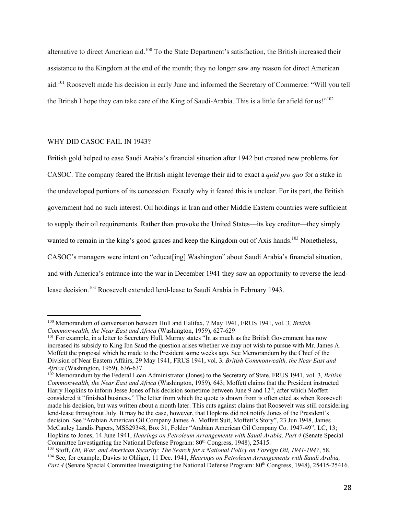alternative to direct American aid.100 To the State Department's satisfaction, the British increased their assistance to the Kingdom at the end of the month; they no longer saw any reason for direct American aid.101 Roosevelt made his decision in early June and informed the Secretary of Commerce: "Will you tell the British I hope they can take care of the King of Saudi-Arabia. This is a little far afield for us!"<sup>102</sup>

#### WHY DID CASOC FAIL IN 1943?

British gold helped to ease Saudi Arabia's financial situation after 1942 but created new problems for CASOC. The company feared the British might leverage their aid to exact a *quid pro quo* for a stake in the undeveloped portions of its concession. Exactly why it feared this is unclear. For its part, the British government had no such interest. Oil holdings in Iran and other Middle Eastern countries were sufficient to supply their oil requirements. Rather than provoke the United States—its key creditor—they simply wanted to remain in the king's good graces and keep the Kingdom out of Axis hands.<sup>103</sup> Nonetheless, CASOC's managers were intent on "educat[ing] Washington" about Saudi Arabia's financial situation, and with America's entrance into the war in December 1941 they saw an opportunity to reverse the lendlease decision.<sup>104</sup> Roosevelt extended lend-lease to Saudi Arabia in February 1943.

<sup>100</sup> Memorandum of conversation between Hull and Halifax, 7 May 1941, FRUS 1941, vol. 3*, British Commonwealth, the Near East and Africa* (Washington, 1959), 627-629

<sup>&</sup>lt;sup>101</sup> For example, in a letter to Secretary Hull, Murray states "In as much as the British Government has now increased its subsidy to King Ibn Saud the question arises whether we may not wish to pursue with Mr. James A. Moffett the proposal which he made to the President some weeks ago. See Memorandum by the Chief of the Division of Near Eastern Affairs, 29 May 1941, FRUS 1941, vol. 3*, British Commonwealth, the Near East and Africa* (Washington, 1959), 636-637

<sup>102</sup> Memorandum by the Federal Loan Administrator (Jones) to the Secretary of State, FRUS 1941, vol. 3*, British Commonwealth, the Near East and Africa* (Washington, 1959), 643; Moffett claims that the President instructed Harry Hopkins to inform Jesse Jones of his decision sometime between June 9 and 12<sup>th</sup>, after which Moffett considered it "finished business." The letter from which the quote is drawn from is often cited as when Roosevelt made his decision, but was written about a month later. This cuts against claims that Roosevelt was still considering lend-lease throughout July. It may be the case, however, that Hopkins did not notify Jones of the President's decision. See "Arabian American Oil Company James A. Moffett Suit, Moffett's Story", 23 Jun 1948, James McCauley Landis Papers, MSS29348, Box 31, Folder "Arabian American Oil Company Co. 1947-49", LC, 13; Hopkins to Jones, 14 June 1941, *Hearings on Petroleum Arrangements with Saudi Arabia, Part 4* (Senate Special Committee Investigating the National Defense Program: 80<sup>th</sup> Congress, 1948), 25415.

<sup>103</sup> Stoff, *Oil, War, and American Security: The Search for a National Policy on Foreign Oil, 1941-1947*, 58. <sup>104</sup> See, for example, Davies to Ohliger, 11 Dec. 1941, *Hearings on Petroleum Arrangements with Saudi Arabia, Part 4* (Senate Special Committee Investigating the National Defense Program: 80<sup>th</sup> Congress, 1948), 25415-25416.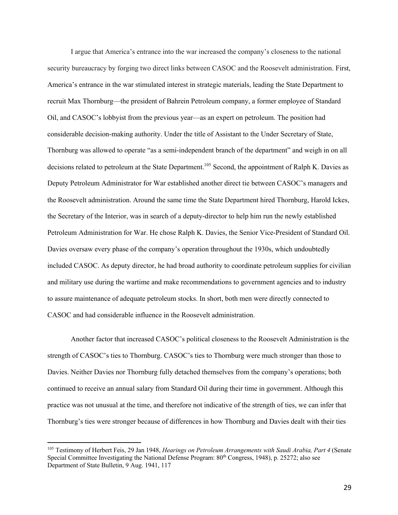I argue that America's entrance into the war increased the company's closeness to the national security bureaucracy by forging two direct links between CASOC and the Roosevelt administration. First, America's entrance in the war stimulated interest in strategic materials, leading the State Department to recruit Max Thornburg—the president of Bahrein Petroleum company, a former employee of Standard Oil, and CASOC's lobbyist from the previous year—as an expert on petroleum. The position had considerable decision-making authority. Under the title of Assistant to the Under Secretary of State, Thornburg was allowed to operate "as a semi-independent branch of the department" and weigh in on all decisions related to petroleum at the State Department.<sup>105</sup> Second, the appointment of Ralph K. Davies as Deputy Petroleum Administrator for War established another direct tie between CASOC's managers and the Roosevelt administration. Around the same time the State Department hired Thornburg, Harold Ickes, the Secretary of the Interior, was in search of a deputy-director to help him run the newly established Petroleum Administration for War. He chose Ralph K. Davies, the Senior Vice-President of Standard Oil. Davies oversaw every phase of the company's operation throughout the 1930s, which undoubtedly included CASOC. As deputy director, he had broad authority to coordinate petroleum supplies for civilian and military use during the wartime and make recommendations to government agencies and to industry to assure maintenance of adequate petroleum stocks. In short, both men were directly connected to CASOC and had considerable influence in the Roosevelt administration.

Another factor that increased CASOC's political closeness to the Roosevelt Administration is the strength of CASOC's ties to Thornburg. CASOC's ties to Thornburg were much stronger than those to Davies. Neither Davies nor Thornburg fully detached themselves from the company's operations; both continued to receive an annual salary from Standard Oil during their time in government. Although this practice was not unusual at the time, and therefore not indicative of the strength of ties, we can infer that Thornburg's ties were stronger because of differences in how Thornburg and Davies dealt with their ties

<sup>105</sup> Testimony of Herbert Feis, 29 Jan 1948, *Hearings on Petroleum Arrangements with Saudi Arabia, Part 4* (Senate Special Committee Investigating the National Defense Program: 80<sup>th</sup> Congress, 1948), p. 25272; also see Department of State Bulletin, 9 Aug. 1941, 117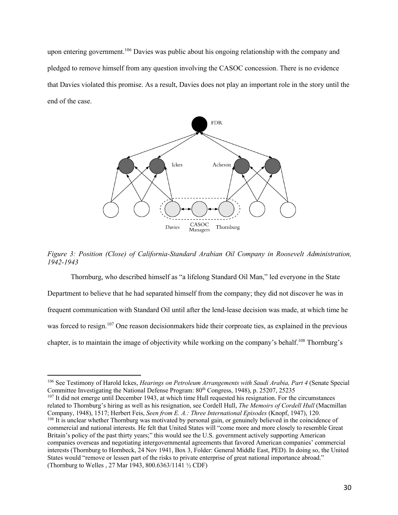upon entering government.<sup>106</sup> Davies was public about his ongoing relationship with the company and pledged to remove himself from any question involving the CASOC concession. There is no evidence that Davies violated this promise. As a result, Davies does not play an important role in the story until the end of the case.



*Figure 3: Position (Close) of California-Standard Arabian Oil Company in Roosevelt Administration, 1942-1943*

Thornburg, who described himself as "a lifelong Standard Oil Man," led everyone in the State Department to believe that he had separated himself from the company; they did not discover he was in frequent communication with Standard Oil until after the lend-lease decision was made, at which time he was forced to resign.<sup>107</sup> One reason decisionmakers hide their corproate ties, as explained in the previous chapter, is to maintain the image of objectivity while working on the company's behalf.<sup>108</sup> Thornburg's

<sup>106</sup> See Testimony of Harold Ickes, *Hearings on Petroleum Arrangements with Saudi Arabia, Part 4* (Senate Special Committee Investigating the National Defense Program: 80th Congress, 1948), p. 25207, 25235

<sup>&</sup>lt;sup>107</sup> It did not emerge until December 1943, at which time Hull requested his resignation. For the circumstances related to Thornburg's hiring as well as his resignation, see Cordell Hull, *The Memoirs of Cordell Hull* (Macmillan Company, 1948), 1517; Herbert Feis, *Seen from E. A.: Three International Episodes* (Knopf, 1947), 120. <sup>108</sup> It is unclear whether Thornburg was motivated by personal gain, or genuinely believed in the coincidence of commercial and national interests. He felt that United States will "come more and more closely to resemble Great Britain's policy of the past thirty years;" this would see the U.S. government actively supporting American companies overseas and negotiating intergovernmental agreements that favored American companies' commercial interests (Thornburg to Hornbeck, 24 Nov 1941, Box 3, Folder: General Middle East, PED). In doing so, the United States would "remove or lessen part of the risks to private enterprise of great national importance abroad." (Thornburg to Welles , 27 Mar 1943, 800.6363/1141 ½ CDF)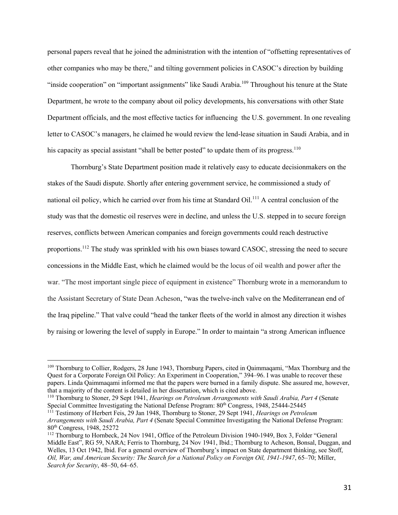personal papers reveal that he joined the administration with the intention of "offsetting representatives of other companies who may be there," and tilting government policies in CASOC's direction by building "inside cooperation" on "important assignments" like Saudi Arabia.<sup>109</sup> Throughout his tenure at the State Department, he wrote to the company about oil policy developments, his conversations with other State Department officials, and the most effective tactics for influencing the U.S. government. In one revealing letter to CASOC's managers, he claimed he would review the lend-lease situation in Saudi Arabia, and in his capacity as special assistant "shall be better posted" to update them of its progress.<sup>110</sup>

Thornburg's State Department position made it relatively easy to educate decisionmakers on the stakes of the Saudi dispute. Shortly after entering government service, he commissioned a study of national oil policy, which he carried over from his time at Standard Oil.<sup>111</sup> A central conclusion of the study was that the domestic oil reserves were in decline, and unless the U.S. stepped in to secure foreign reserves, conflicts between American companies and foreign governments could reach destructive proportions.<sup>112</sup> The study was sprinkled with his own biases toward CASOC, stressing the need to secure concessions in the Middle East, which he claimed would be the locus of oil wealth and power after the war. "The most important single piece of equipment in existence" Thornburg wrote in a memorandum to the Assistant Secretary of State Dean Acheson, "was the twelve-inch valve on the Mediterranean end of the Iraq pipeline." That valve could "head the tanker fleets of the world in almost any direction it wishes by raising or lowering the level of supply in Europe." In order to maintain "a strong American influence

<sup>109</sup> Thornburg to Collier, Rodgers, 28 June 1943, Thornburg Papers, cited in Qaimmaqami, "Max Thornburg and the Quest for a Corporate Foreign Oil Policy: An Experiment in Cooperation," 394–96. I was unable to recover these papers. Linda Qaimmaqami informed me that the papers were burned in a family dispute. She assured me, however, that a majority of the content is detailed in her dissertation, which is cited above.

<sup>110</sup> Thornburg to Stoner, 29 Sept 1941, *Hearings on Petroleum Arrangements with Saudi Arabia, Part 4* (Senate Special Committee Investigating the National Defense Program: 80<sup>th</sup> Congress, 1948, 25444-25445

<sup>111</sup> Testimony of Herbert Feis, 29 Jan 1948, Thornburg to Stoner, 29 Sept 1941, *Hearings on Petroleum Arrangements with Saudi Arabia, Part 4* (Senate Special Committee Investigating the National Defense Program: 80th Congress, 1948, 25272

<sup>&</sup>lt;sup>112</sup> Thornburg to Hornbeck, 24 Nov 1941, Office of the Petroleum Division 1940-1949, Box 3, Folder "General Middle East", RG 59, NARA; Ferris to Thornburg, 24 Nov 1941, Ibid.; Thornburg to Acheson, Bonsal, Duggan, and Welles, 13 Oct 1942, Ibid. For a general overview of Thornburg's impact on State department thinking, see Stoff, *Oil, War, and American Security: The Search for a National Policy on Foreign Oil, 1941-1947*, 65–70; Miller, *Search for Security*, 48–50, 64–65.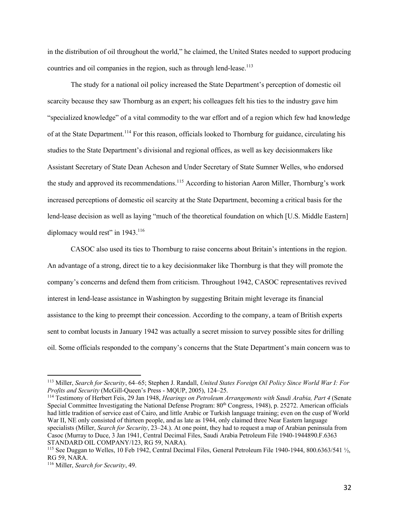in the distribution of oil throughout the world," he claimed, the United States needed to support producing countries and oil companies in the region, such as through lend-lease.<sup>113</sup>

The study for a national oil policy increased the State Department's perception of domestic oil scarcity because they saw Thornburg as an expert; his colleagues felt his ties to the industry gave him "specialized knowledge" of a vital commodity to the war effort and of a region which few had knowledge of at the State Department.<sup>114</sup> For this reason, officials looked to Thornburg for guidance, circulating his studies to the State Department's divisional and regional offices, as well as key decisionmakers like Assistant Secretary of State Dean Acheson and Under Secretary of State Sumner Welles, who endorsed the study and approved its recommendations.<sup>115</sup> According to historian Aaron Miller, Thornburg's work increased perceptions of domestic oil scarcity at the State Department, becoming a critical basis for the lend-lease decision as well as laying "much of the theoretical foundation on which [U.S. Middle Eastern] diplomacy would rest" in 1943.<sup>116</sup>

CASOC also used its ties to Thornburg to raise concerns about Britain's intentions in the region. An advantage of a strong, direct tie to a key decisionmaker like Thornburg is that they will promote the company's concerns and defend them from criticism. Throughout 1942, CASOC representatives revived interest in lend-lease assistance in Washington by suggesting Britain might leverage its financial assistance to the king to preempt their concession. According to the company, a team of British experts sent to combat locusts in January 1942 was actually a secret mission to survey possible sites for drilling oil. Some officials responded to the company's concerns that the State Department's main concern was to

<sup>114</sup> Testimony of Herbert Feis, 29 Jan 1948, *Hearings on Petroleum Arrangements with Saudi Arabia, Part 4* (Senate Special Committee Investigating the National Defense Program: 80<sup>th</sup> Congress, 1948), p. 25272. American officials had little tradition of service east of Cairo, and little Arabic or Turkish language training; even on the cusp of World War II, NE only consisted of thirteen people, and as late as 1944, only claimed three Near Eastern language specialists (Miller, *Search for Security*, 23–24.). At one point, they had to request a map of Arabian peninsula from Casoc (Murray to Duce, 3 Jan 1941, Central Decimal Files, Saudi Arabia Petroleum File 1940-1944890.F.6363 STANDARD OIL COMPANY/123, RG 59, NARA).

<sup>113</sup> Miller, *Search for Security*, 64–65; Stephen J. Randall, *United States Foreign Oil Policy Since World War I: For Profits and Security* (McGill-Queen's Press - MQUP, 2005), 124–25.

<sup>115</sup> See Duggan to Welles, 10 Feb 1942, Central Decimal Files, General Petroleum File 1940-1944, 800.6363/541 ½, RG 59, NARA.

<sup>116</sup> Miller, *Search for Security*, 49.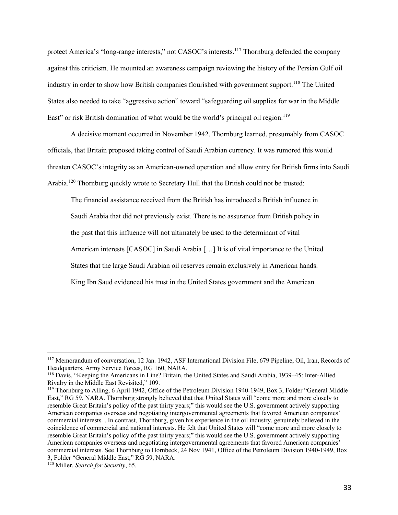protect America's "long-range interests," not CASOC's interests.<sup>117</sup> Thornburg defended the company against this criticism. He mounted an awareness campaign reviewing the history of the Persian Gulf oil industry in order to show how British companies flourished with government support.<sup>118</sup> The United States also needed to take "aggressive action" toward "safeguarding oil supplies for war in the Middle East" or risk British domination of what would be the world's principal oil region.<sup>119</sup>

A decisive moment occurred in November 1942. Thornburg learned, presumably from CASOC officials, that Britain proposed taking control of Saudi Arabian currency. It was rumored this would threaten CASOC's integrity as an American-owned operation and allow entry for British firms into Saudi Arabia.<sup>120</sup> Thornburg quickly wrote to Secretary Hull that the British could not be trusted:

The financial assistance received from the British has introduced a British influence in Saudi Arabia that did not previously exist. There is no assurance from British policy in the past that this influence will not ultimately be used to the determinant of vital American interests [CASOC] in Saudi Arabia […] It is of vital importance to the United States that the large Saudi Arabian oil reserves remain exclusively in American hands. King Ibn Saud evidenced his trust in the United States government and the American

<sup>117</sup> Memorandum of conversation, 12 Jan. 1942, ASF International Division File, 679 Pipeline, Oil, Iran, Records of Headquarters, Army Service Forces, RG 160, NARA.

<sup>118</sup> Davis, "Keeping the Americans in Line? Britain, the United States and Saudi Arabia, 1939–45: Inter‐Allied Rivalry in the Middle East Revisited," 109.

<sup>119</sup> Thornburg to Alling, 6 April 1942, Office of the Petroleum Division 1940-1949, Box 3, Folder "General Middle East," RG 59, NARA. Thornburg strongly believed that that United States will "come more and more closely to resemble Great Britain's policy of the past thirty years;" this would see the U.S. government actively supporting American companies overseas and negotiating intergovernmental agreements that favored American companies' commercial interests. . In contrast, Thornburg, given his experience in the oil industry, genuinely believed in the coincidence of commercial and national interests. He felt that United States will "come more and more closely to resemble Great Britain's policy of the past thirty years;" this would see the U.S. government actively supporting American companies overseas and negotiating intergovernmental agreements that favored American companies' commercial interests. See Thornburg to Hornbeck, 24 Nov 1941, Office of the Petroleum Division 1940-1949, Box 3, Folder "General Middle East," RG 59, NARA.

<sup>120</sup> Miller, *Search for Security*, 65.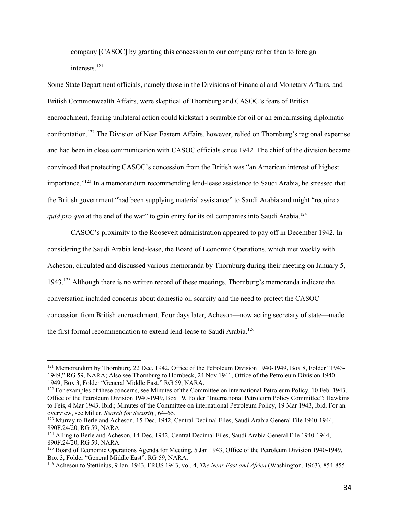company [CASOC] by granting this concession to our company rather than to foreign interests.121

Some State Department officials, namely those in the Divisions of Financial and Monetary Affairs, and British Commonwealth Affairs, were skeptical of Thornburg and CASOC's fears of British encroachment, fearing unilateral action could kickstart a scramble for oil or an embarrassing diplomatic confrontation.122 The Division of Near Eastern Affairs, however, relied on Thornburg's regional expertise and had been in close communication with CASOC officials since 1942. The chief of the division became convinced that protecting CASOC's concession from the British was "an American interest of highest importance."<sup>123</sup> In a memorandum recommending lend-lease assistance to Saudi Arabia, he stressed that the British government "had been supplying material assistance" to Saudi Arabia and might "require a *quid pro quo* at the end of the war" to gain entry for its oil companies into Saudi Arabia.<sup>124</sup>

CASOC's proximity to the Roosevelt administration appeared to pay off in December 1942. In considering the Saudi Arabia lend-lease, the Board of Economic Operations, which met weekly with Acheson, circulated and discussed various memoranda by Thornburg during their meeting on January 5,  $1943<sup>125</sup>$  Although there is no written record of these meetings, Thornburg's memoranda indicate the conversation included concerns about domestic oil scarcity and the need to protect the CASOC concession from British encroachment. Four days later, Acheson—now acting secretary of state—made the first formal recommendation to extend lend-lease to Saudi Arabia.<sup>126</sup>

<sup>&</sup>lt;sup>121</sup> Memorandum by Thornburg, 22 Dec. 1942, Office of the Petroleum Division 1940-1949, Box 8, Folder "1943-1949," RG 59, NARA; Also see Thornburg to Hornbeck, 24 Nov 1941, Office of the Petroleum Division 1940- 1949, Box 3, Folder "General Middle East," RG 59, NARA.

 $122$  For examples of these concerns, see Minutes of the Committee on international Petroleum Policy, 10 Feb. 1943, Office of the Petroleum Division 1940-1949, Box 19, Folder "International Petroleum Policy Committee"; Hawkins to Feis, 4 Mar 1943, Ibid.; Minutes of the Committee on international Petroleum Policy, 19 Mar 1943, Ibid. For an overview, see Miller, *Search for Security*, 64–65.

<sup>&</sup>lt;sup>123</sup> Murray to Berle and Acheson, 15 Dec. 1942, Central Decimal Files, Saudi Arabia General File 1940-1944, 890F.24/20, RG 59, NARA.

<sup>&</sup>lt;sup>124</sup> Alling to Berle and Acheson, 14 Dec. 1942, Central Decimal Files, Saudi Arabia General File 1940-1944, 890F.24/20, RG 59, NARA.

<sup>&</sup>lt;sup>125</sup> Board of Economic Operations Agenda for Meeting, 5 Jan 1943, Office of the Petroleum Division 1940-1949, Box 3, Folder "General Middle East", RG 59, NARA.

<sup>126</sup> Acheson to Stettinius, 9 Jan. 1943, FRUS 1943, vol. 4, *The Near East and Africa* (Washington, 1963), 854-855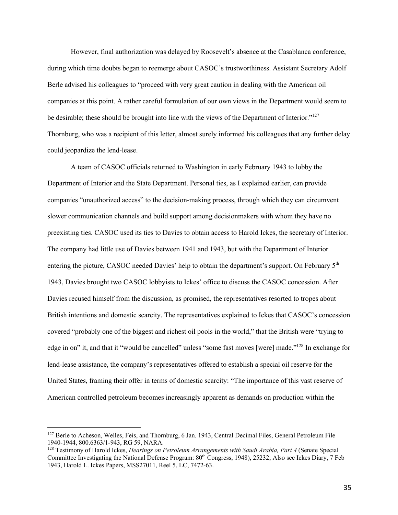However, final authorization was delayed by Roosevelt's absence at the Casablanca conference, during which time doubts began to reemerge about CASOC's trustworthiness. Assistant Secretary Adolf Berle advised his colleagues to "proceed with very great caution in dealing with the American oil companies at this point. A rather careful formulation of our own views in the Department would seem to be desirable; these should be brought into line with the views of the Department of Interior."<sup>127</sup> Thornburg, who was a recipient of this letter, almost surely informed his colleagues that any further delay could jeopardize the lend-lease.

A team of CASOC officials returned to Washington in early February 1943 to lobby the Department of Interior and the State Department. Personal ties, as I explained earlier, can provide companies "unauthorized access" to the decision-making process, through which they can circumvent slower communication channels and build support among decisionmakers with whom they have no preexisting ties. CASOC used its ties to Davies to obtain access to Harold Ickes, the secretary of Interior. The company had little use of Davies between 1941 and 1943, but with the Department of Interior entering the picture, CASOC needed Davies' help to obtain the department's support. On February  $5<sup>th</sup>$ 1943, Davies brought two CASOC lobbyists to Ickes' office to discuss the CASOC concession. After Davies recused himself from the discussion, as promised, the representatives resorted to tropes about British intentions and domestic scarcity. The representatives explained to Ickes that CASOC's concession covered "probably one of the biggest and richest oil pools in the world," that the British were "trying to edge in on" it, and that it "would be cancelled" unless "some fast moves [were] made."128 In exchange for lend-lease assistance, the company's representatives offered to establish a special oil reserve for the United States, framing their offer in terms of domestic scarcity: "The importance of this vast reserve of American controlled petroleum becomes increasingly apparent as demands on production within the

<sup>&</sup>lt;sup>127</sup> Berle to Acheson, Welles, Feis, and Thornburg, 6 Jan. 1943, Central Decimal Files, General Petroleum File 1940-1944, 800.6363/1-943, RG 59, NARA.

<sup>128</sup> Testimony of Harold Ickes, *Hearings on Petroleum Arrangements with Saudi Arabia, Part 4* (Senate Special Committee Investigating the National Defense Program: 80<sup>th</sup> Congress, 1948), 25232; Also see Ickes Diary, 7 Feb 1943, Harold L. Ickes Papers, MSS27011, Reel 5, LC, 7472-63.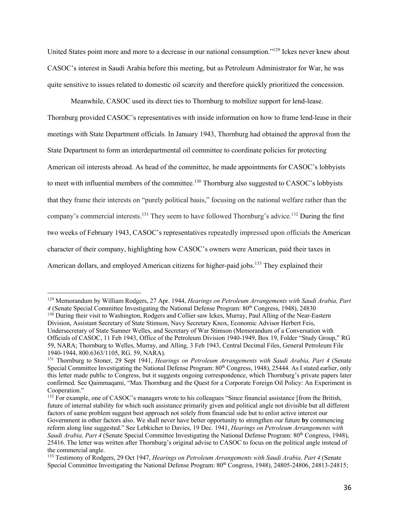United States point more and more to a decrease in our national consumption."129 Ickes never knew about CASOC's interest in Saudi Arabia before this meeting, but as Petroleum Administrator for War, he was quite sensitive to issues related to domestic oil scarcity and therefore quickly prioritized the concession.

Meanwhile, CASOC used its direct ties to Thornburg to mobilize support for lend-lease. Thornburg provided CASOC's representatives with inside information on how to frame lend-lease in their meetings with State Department officials. In January 1943, Thornburg had obtained the approval from the State Department to form an interdepartmental oil committee to coordinate policies for protecting American oil interests abroad. As head of the committee, he made appointments for CASOC's lobbyists to meet with influential members of the committee.<sup>130</sup> Thornburg also suggested to CASOC's lobbyists that they frame their interests on "purely political basis," focusing on the national welfare rather than the company's commercial interests.<sup>131</sup> They seem to have followed Thornburg's advice.<sup>132</sup> During the first two weeks of February 1943, CASOC's representatives repeatedly impressed upon officials the American character of their company, highlighting how CASOC's owners were American, paid their taxes in American dollars, and employed American citizens for higher-paid jobs.<sup>133</sup> They explained their

<sup>129</sup> Memorandum by William Rodgers, 27 Apr. 1944, *Hearings on Petroleum Arrangements with Saudi Arabia, Part 4* (Senate Special Committee Investigating the National Defense Program: 80th Congress, 1948), 24830

<sup>&</sup>lt;sup>130</sup> During their visit to Washington, Rodgers and Collier saw Ickes, Murray, Paul Alling of the Near-Eastern Division, Assistant Secretary of State Stimson, Navy Secretary Knox, Economic Advisor Herbert Feis, Undersecretary of State Sumner Welles, and Secretary of War Stimson (Memorandum of a Conversation with Officials of CASOC, 11 Feb 1943, Office of the Petroleum Division 1940-1949, Box 19, Folder "Study Group," RG 59, NARA; Thornburg to Welles, Murray, and Alling, 3 Feb 1943, Central Decimal Files, General Petroleum File 1940-1944, 800.6363/1105, RG. 59, NARA).

<sup>131</sup> Thornburg to Stoner, 29 Sept 1941, *Hearings on Petroleum Arrangements with Saudi Arabia, Part 4* (Senate Special Committee Investigating the National Defense Program: 80<sup>th</sup> Congress, 1948), 25444. As I stated earlier, only this letter made public to Congress, but it suggests ongoing correspondence, which Thornburg's private papers later confirmed. See Qaimmaqami, "Max Thornburg and the Quest for a Corporate Foreign Oil Policy: An Experiment in Cooperation."

<sup>&</sup>lt;sup>132</sup> For example, one of CASOC's managers wrote to his colleagues "Since financial assistance [from the British, future of internal stability for which such assistance primarily given and political angle not divisible but all different factors of same problem suggest best approach not solely from financial side but to enlist active interest our Government in other factors also. We shall never have better opportunity to strengthen our future **by** commencing reform along line suggested." See Lebkicher to Davies, 19 Dec. 1941, *Hearings on Petroleum Arrangements with Saudi Arabia, Part 4* (Senate Special Committee Investigating the National Defense Program: 80<sup>th</sup> Congress, 1948), 25416. The letter was written after Thornburg's original advise to CASOC to focus on the political angle instead of the commercial angle.

<sup>133</sup> Testimony of Rodgers, 29 Oct 1947, *Hearings on Petroleum Arrangements with Saudi Arabia, Part 4* (Senate Special Committee Investigating the National Defense Program:  $80<sup>th</sup>$  Congress, 1948), 24805-24806, 24813-24815;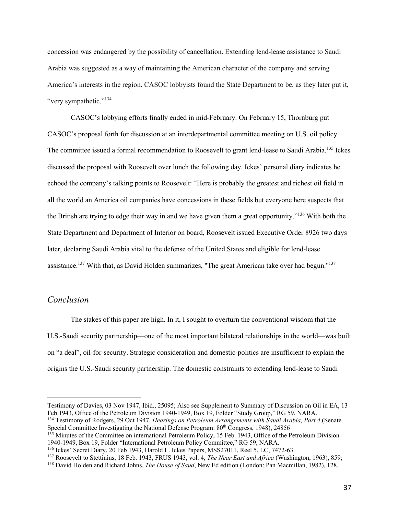concession was endangered by the possibility of cancellation. Extending lend-lease assistance to Saudi Arabia was suggested as a way of maintaining the American character of the company and serving America's interests in the region. CASOC lobbyists found the State Department to be, as they later put it, "very sympathetic."<sup>134</sup>

CASOC's lobbying efforts finally ended in mid-February. On February 15, Thornburg put CASOC's proposal forth for discussion at an interdepartmental committee meeting on U.S. oil policy. The committee issued a formal recommendation to Roosevelt to grant lend-lease to Saudi Arabia.<sup>135</sup> Ickes discussed the proposal with Roosevelt over lunch the following day. Ickes' personal diary indicates he echoed the company's talking points to Roosevelt: "Here is probably the greatest and richest oil field in all the world an America oil companies have concessions in these fields but everyone here suspects that the British are trying to edge their way in and we have given them a great opportunity."<sup>136</sup> With both the State Department and Department of Interior on board, Roosevelt issued Executive Order 8926 two days later, declaring Saudi Arabia vital to the defense of the United States and eligible for lend-lease assistance.<sup>137</sup> With that, as David Holden summarizes, "The great American take over had begun."<sup>138</sup>

## *Conclusion*

The stakes of this paper are high. In it, I sought to overturn the conventional wisdom that the U.S.-Saudi security partnership—one of the most important bilateral relationships in the world—was built on "a deal", oil-for-security. Strategic consideration and domestic-politics are insufficient to explain the origins the U.S.-Saudi security partnership. The domestic constraints to extending lend-lease to Saudi

Testimony of Davies, 03 Nov 1947, Ibid., 25095; Also see Supplement to Summary of Discussion on Oil in EA, 13 Feb 1943, Office of the Petroleum Division 1940-1949, Box 19, Folder "Study Group," RG 59, NARA.

<sup>134</sup> Testimony of Rodgers, 29 Oct 1947, *Hearings on Petroleum Arrangements with Saudi Arabia, Part 4* (Senate Special Committee Investigating the National Defense Program: 80<sup>th</sup> Congress, 1948), 24856

<sup>&</sup>lt;sup>135</sup> Minutes of the Committee on international Petroleum Policy, 15 Feb. 1943, Office of the Petroleum Division 1940-1949, Box 19, Folder "International Petroleum Policy Committee," RG 59, NARA.

<sup>&</sup>lt;sup>136</sup> Ickes' Secret Diary, 20 Feb 1943, Harold L. Ickes Papers, MSS27011, Reel 5, LC, 7472-63.

<sup>137</sup> Roosevelt to Stettinius, 18 Feb. 1943, FRUS 1943, vol. 4, *The Near East and Africa* (Washington, 1963), 859;

<sup>138</sup> David Holden and Richard Johns, *The House of Saud*, New Ed edition (London: Pan Macmillan, 1982), 128.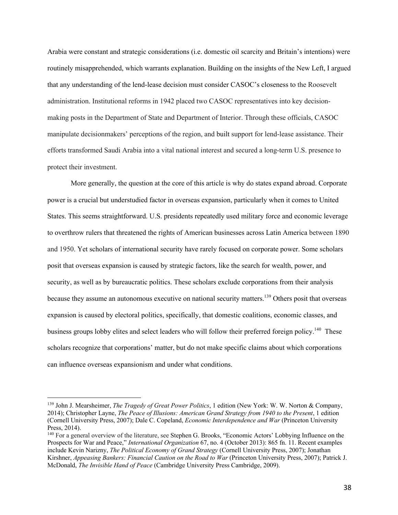Arabia were constant and strategic considerations (i.e. domestic oil scarcity and Britain's intentions) were routinely misapprehended, which warrants explanation. Building on the insights of the New Left, I argued that any understanding of the lend-lease decision must consider CASOC's closeness to the Roosevelt administration. Institutional reforms in 1942 placed two CASOC representatives into key decisionmaking posts in the Department of State and Department of Interior. Through these officials, CASOC manipulate decisionmakers' perceptions of the region, and built support for lend-lease assistance. Their efforts transformed Saudi Arabia into a vital national interest and secured a long-term U.S. presence to protect their investment.

More generally, the question at the core of this article is why do states expand abroad. Corporate power is a crucial but understudied factor in overseas expansion, particularly when it comes to United States. This seems straightforward. U.S. presidents repeatedly used military force and economic leverage to overthrow rulers that threatened the rights of American businesses across Latin America between 1890 and 1950. Yet scholars of international security have rarely focused on corporate power. Some scholars posit that overseas expansion is caused by strategic factors, like the search for wealth, power, and security, as well as by bureaucratic politics. These scholars exclude corporations from their analysis because they assume an autonomous executive on national security matters.<sup>139</sup> Others posit that overseas expansion is caused by electoral politics, specifically, that domestic coalitions, economic classes, and business groups lobby elites and select leaders who will follow their preferred foreign policy.<sup>140</sup> These scholars recognize that corporations' matter, but do not make specific claims about which corporations can influence overseas expansionism and under what conditions.

<sup>139</sup> John J. Mearsheimer, *The Tragedy of Great Power Politics*, 1 edition (New York: W. W. Norton & Company, 2014); Christopher Layne, *The Peace of Illusions: American Grand Strategy from 1940 to the Present*, 1 edition (Cornell University Press, 2007); Dale C. Copeland, *Economic Interdependence and War* (Princeton University Press, 2014).

<sup>140</sup> For a general overview of the literature, see Stephen G. Brooks, "Economic Actors' Lobbying Influence on the Prospects for War and Peace," *International Organization* 67, no. 4 (October 2013): 865 fn. 11. Recent examples include Kevin Narizny, *The Political Economy of Grand Strategy* (Cornell University Press, 2007); Jonathan Kirshner, *Appeasing Bankers: Financial Caution on the Road to War* (Princeton University Press, 2007); Patrick J. McDonald, *The Invisible Hand of Peace* (Cambridge University Press Cambridge, 2009).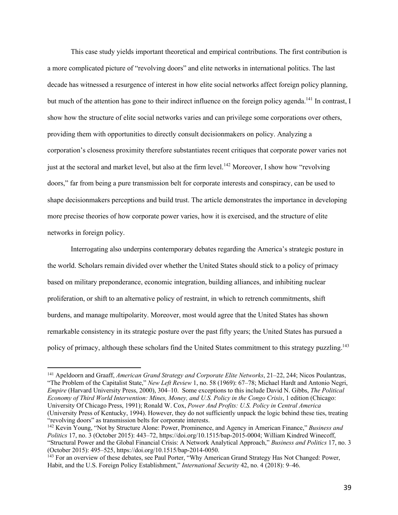This case study yields important theoretical and empirical contributions. The first contribution is a more complicated picture of "revolving doors" and elite networks in international politics. The last decade has witnessed a resurgence of interest in how elite social networks affect foreign policy planning, but much of the attention has gone to their indirect influence on the foreign policy agenda.<sup>141</sup> In contrast, I show how the structure of elite social networks varies and can privilege some corporations over others, providing them with opportunities to directly consult decisionmakers on policy. Analyzing a corporation's closeness proximity therefore substantiates recent critiques that corporate power varies not just at the sectoral and market level, but also at the firm level.<sup>142</sup> Moreover, I show how "revolving" doors," far from being a pure transmission belt for corporate interests and conspiracy, can be used to shape decisionmakers perceptions and build trust. The article demonstrates the importance in developing more precise theories of how corporate power varies, how it is exercised, and the structure of elite networks in foreign policy.

Interrogating also underpins contemporary debates regarding the America's strategic posture in the world. Scholars remain divided over whether the United States should stick to a policy of primacy based on military preponderance, economic integration, building alliances, and inhibiting nuclear proliferation, or shift to an alternative policy of restraint, in which to retrench commitments, shift burdens, and manage multipolarity. Moreover, most would agree that the United States has shown remarkable consistency in its strategic posture over the past fifty years; the United States has pursued a policy of primacy, although these scholars find the United States commitment to this strategy puzzling.<sup>143</sup>

<sup>141</sup> Apeldoorn and Graaff, *American Grand Strategy and Corporate Elite Networks*, 21–22, 244; Nicos Poulantzas, "The Problem of the Capitalist State," *New Left Review* 1, no. 58 (1969): 67–78; Michael Hardt and Antonio Negri, *Empire* (Harvard University Press, 2000), 304–10. Some exceptions to this include David N. Gibbs, *The Political Economy of Third World Intervention: Mines, Money, and U.S. Policy in the Congo Crisis*, 1 edition (Chicago: University Of Chicago Press, 1991); Ronald W. Cox, *Power And Profits: U.S. Policy in Central America* (University Press of Kentucky, 1994). However, they do not sufficiently unpack the logic behind these ties, treating "revolving doors" as transmission belts for corporate interests.

<sup>142</sup> Kevin Young, "Not by Structure Alone: Power, Prominence, and Agency in American Finance," *Business and Politics* 17, no. 3 (October 2015): 443–72, https://doi.org/10.1515/bap-2015-0004; William Kindred Winecoff, "Structural Power and the Global Financial Crisis: A Network Analytical Approach," *Business and Politics* 17, no. 3 (October 2015): 495–525, https://doi.org/10.1515/bap-2014-0050.

<sup>&</sup>lt;sup>143</sup> For an overview of these debates, see Paul Porter, "Why American Grand Strategy Has Not Changed: Power, Habit, and the U.S. Foreign Policy Establishment," *International Security* 42, no. 4 (2018): 9–46.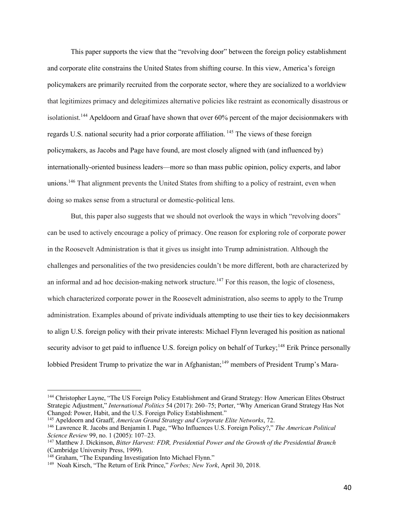This paper supports the view that the "revolving door" between the foreign policy establishment and corporate elite constrains the United States from shifting course. In this view, America's foreign policymakers are primarily recruited from the corporate sector, where they are socialized to a worldview that legitimizes primacy and delegitimizes alternative policies like restraint as economically disastrous or isolationist.<sup>144</sup> Apeldoorn and Graaf have shown that over 60% percent of the major decisionmakers with regards U.S. national security had a prior corporate affiliation.<sup>145</sup> The views of these foreign policymakers, as Jacobs and Page have found, are most closely aligned with (and influenced by) internationally-oriented business leaders—more so than mass public opinion, policy experts, and labor unions.<sup>146</sup> That alignment prevents the United States from shifting to a policy of restraint, even when doing so makes sense from a structural or domestic-political lens.

But, this paper also suggests that we should not overlook the ways in which "revolving doors" can be used to actively encourage a policy of primacy. One reason for exploring role of corporate power in the Roosevelt Administration is that it gives us insight into Trump administration. Although the challenges and personalities of the two presidencies couldn't be more different, both are characterized by an informal and ad hoc decision-making network structure.<sup>147</sup> For this reason, the logic of closeness, which characterized corporate power in the Roosevelt administration, also seems to apply to the Trump administration. Examples abound of private individuals attempting to use their ties to key decisionmakers to align U.S. foreign policy with their private interests: Michael Flynn leveraged his position as national security advisor to get paid to influence U.S. foreign policy on behalf of Turkey;<sup>148</sup> Erik Prince personally lobbied President Trump to privatize the war in Afghanistan;<sup>149</sup> members of President Trump's Mara-

<sup>144</sup> Christopher Layne, "The US Foreign Policy Establishment and Grand Strategy: How American Elites Obstruct Strategic Adjustment," *International Politics* 54 (2017): 260–75; Porter, "Why American Grand Strategy Has Not Changed: Power, Habit, and the U.S. Foreign Policy Establishment."

<sup>145</sup> Apeldoorn and Graaff, *American Grand Strategy and Corporate Elite Networks*, 72.

<sup>146</sup> Lawrence R. Jacobs and Benjamin I. Page, "Who Influences U.S. Foreign Policy?," *The American Political Science Review* 99, no. 1 (2005): 107–23.

<sup>147</sup> Matthew J. Dickinson, *Bitter Harvest: FDR, Presidential Power and the Growth of the Presidential Branch* (Cambridge University Press, 1999).

<sup>&</sup>lt;sup>148</sup> Graham, "The Expanding Investigation Into Michael Flynn."

<sup>149</sup> Noah Kirsch, "The Return of Erik Prince," *Forbes; New York*, April 30, 2018.